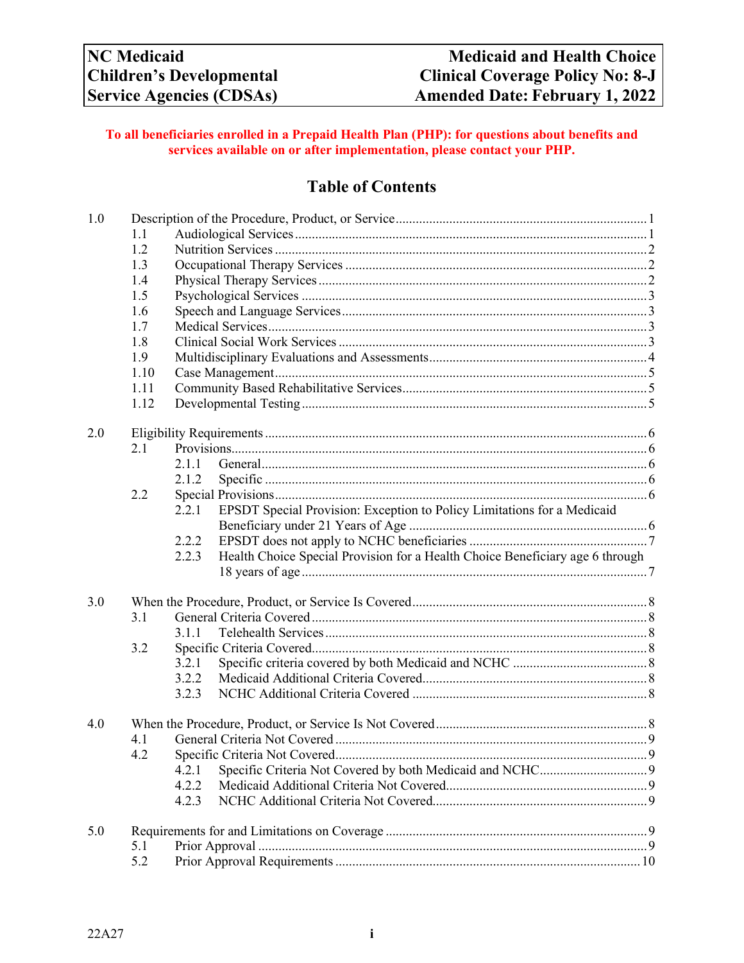### **To all beneficiaries enrolled in a Prepaid Health Plan (PHP): for questions about benefits and services available on or after implementation, please contact your PHP.**

# **Table of Contents**

| 1.0 |      |       |                                                                               |  |  |  |
|-----|------|-------|-------------------------------------------------------------------------------|--|--|--|
|     | 1.1  |       |                                                                               |  |  |  |
|     | 1.2  |       |                                                                               |  |  |  |
|     | 1.3  |       |                                                                               |  |  |  |
|     | 1.4  |       |                                                                               |  |  |  |
|     | 1.5  |       |                                                                               |  |  |  |
|     | 1.6  |       |                                                                               |  |  |  |
|     | 1.7  |       |                                                                               |  |  |  |
|     | 1.8  |       |                                                                               |  |  |  |
|     | 1.9  |       |                                                                               |  |  |  |
|     | 1.10 |       |                                                                               |  |  |  |
|     | 1.11 |       |                                                                               |  |  |  |
|     | 1.12 |       |                                                                               |  |  |  |
| 2.0 |      |       |                                                                               |  |  |  |
|     | 2.1  |       |                                                                               |  |  |  |
|     |      | 2.1.1 |                                                                               |  |  |  |
|     |      | 2.1.2 |                                                                               |  |  |  |
|     | 2.2  |       |                                                                               |  |  |  |
|     |      | 2.2.1 | EPSDT Special Provision: Exception to Policy Limitations for a Medicaid       |  |  |  |
|     |      |       |                                                                               |  |  |  |
|     |      | 2.2.2 |                                                                               |  |  |  |
|     |      | 2.2.3 | Health Choice Special Provision for a Health Choice Beneficiary age 6 through |  |  |  |
| 3.0 |      |       |                                                                               |  |  |  |
|     | 3.1  |       |                                                                               |  |  |  |
|     |      | 3.1.1 |                                                                               |  |  |  |
|     | 3.2  |       |                                                                               |  |  |  |
|     |      | 3.2.1 |                                                                               |  |  |  |
|     |      | 3.2.2 |                                                                               |  |  |  |
|     |      | 3.2.3 |                                                                               |  |  |  |
| 4.0 |      |       |                                                                               |  |  |  |
|     | 4.1  |       |                                                                               |  |  |  |
|     | 4.2  |       |                                                                               |  |  |  |
|     |      | 4.2.1 |                                                                               |  |  |  |
|     |      | 4.2.2 |                                                                               |  |  |  |
|     |      | 4.2.3 |                                                                               |  |  |  |
| 5.0 |      |       |                                                                               |  |  |  |
|     | 5.1  |       |                                                                               |  |  |  |
|     | 5.2  |       |                                                                               |  |  |  |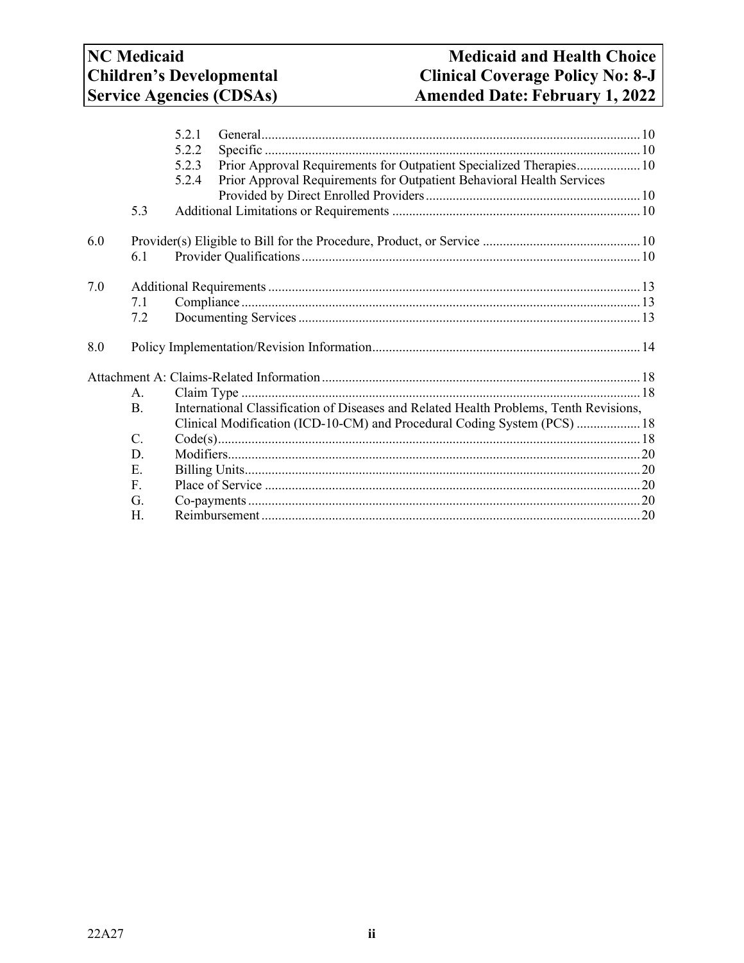|     |                 | 5.2.1                                                                                  |
|-----|-----------------|----------------------------------------------------------------------------------------|
|     |                 | 5.2.2                                                                                  |
|     |                 | Prior Approval Requirements for Outpatient Specialized Therapies 10<br>5.2.3           |
|     |                 | Prior Approval Requirements for Outpatient Behavioral Health Services<br>5.2.4         |
|     |                 |                                                                                        |
|     | 5.3             |                                                                                        |
| 6.0 |                 |                                                                                        |
|     | 6.1             |                                                                                        |
| 7.0 |                 |                                                                                        |
|     | 7.1             |                                                                                        |
|     | 7.2             |                                                                                        |
|     |                 |                                                                                        |
| 8.0 |                 |                                                                                        |
|     |                 |                                                                                        |
|     | A.              |                                                                                        |
|     | <b>B.</b>       | International Classification of Diseases and Related Health Problems, Tenth Revisions, |
|     |                 | Clinical Modification (ICD-10-CM) and Procedural Coding System (PCS)  18               |
|     | $\mathcal{C}$ . |                                                                                        |
|     | D.              |                                                                                        |
|     | Ε.              |                                                                                        |
|     | F.              |                                                                                        |
|     | G.              |                                                                                        |
|     | H.              |                                                                                        |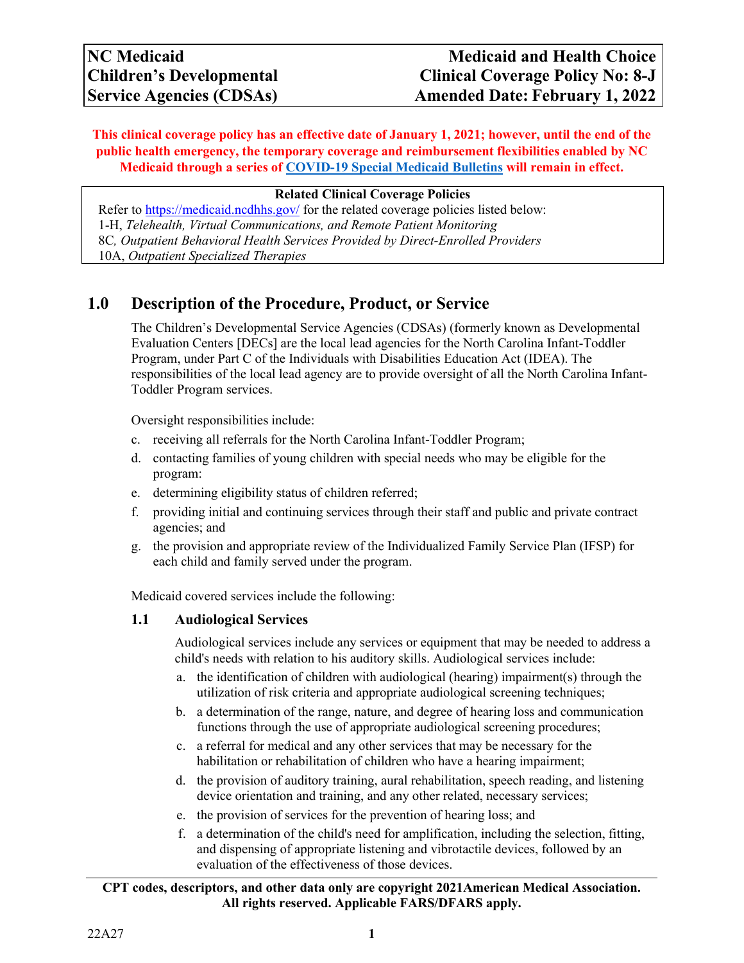**This clinical coverage policy has an effective date of January 1, 2021; however, until the end of the public health emergency, the temporary coverage and reimbursement flexibilities enabled by NC Medicaid through a series of [COVID-19 Special Medicaid Bulletins](https://medicaid.ncdhhs.gov/about-us/covid-19-guidance-and-resources/providers/covid-19-special-medicaid-bulletins) will remain in effect.**

#### **Related Clinical Coverage Policies**

Refer to [https://medicaid.ncdhhs.gov/](http://dma.ncdhhs.gov/) for the related coverage policies listed below: 1-H, *Telehealth, Virtual Communications, and Remote Patient Monitoring* 8C*, [Outpatient Behavioral Health Services Provided by Direct-Enrolled Providers](http://www.ncdhhs.gov/dma/mp/8C.pdf)* 10A, *Outpatient Specialized Therapies*

# <span id="page-2-0"></span>**1.0 Description of the Procedure, Product, or Service**

The Children's Developmental Service Agencies (CDSAs) (formerly known as Developmental Evaluation Centers [DECs] are the local lead agencies for the North Carolina Infant-Toddler Program, under Part C of the Individuals with Disabilities Education Act (IDEA). The responsibilities of the local lead agency are to provide oversight of all the North Carolina Infant-Toddler Program services.

Oversight responsibilities include:

- c. receiving all referrals for the North Carolina Infant-Toddler Program;
- d. contacting families of young children with special needs who may be eligible for the program:
- e. determining eligibility status of children referred;
- f. providing initial and continuing services through their staff and public and private contract agencies; and
- g. the provision and appropriate review of the Individualized Family Service Plan (IFSP) for each child and family served under the program.

Medicaid covered services include the following:

### <span id="page-2-1"></span>**1.1 Audiological Services**

Audiological services include any services or equipment that may be needed to address a child's needs with relation to his auditory skills. Audiological services include:

- a. the identification of children with audiological (hearing) impairment(s) through the utilization of risk criteria and appropriate audiological screening techniques;
- b. a determination of the range, nature, and degree of hearing loss and communication functions through the use of appropriate audiological screening procedures;
- c. a referral for medical and any other services that may be necessary for the habilitation or rehabilitation of children who have a hearing impairment;
- d. the provision of auditory training, aural rehabilitation, speech reading, and listening device orientation and training, and any other related, necessary services;
- e. the provision of services for the prevention of hearing loss; and
- f. a determination of the child's need for amplification, including the selection, fitting, and dispensing of appropriate listening and vibrotactile devices, followed by an evaluation of the effectiveness of those devices.

### **CPT codes, descriptors, and other data only are copyright 2021American Medical Association. All rights reserved. Applicable FARS/DFARS apply.**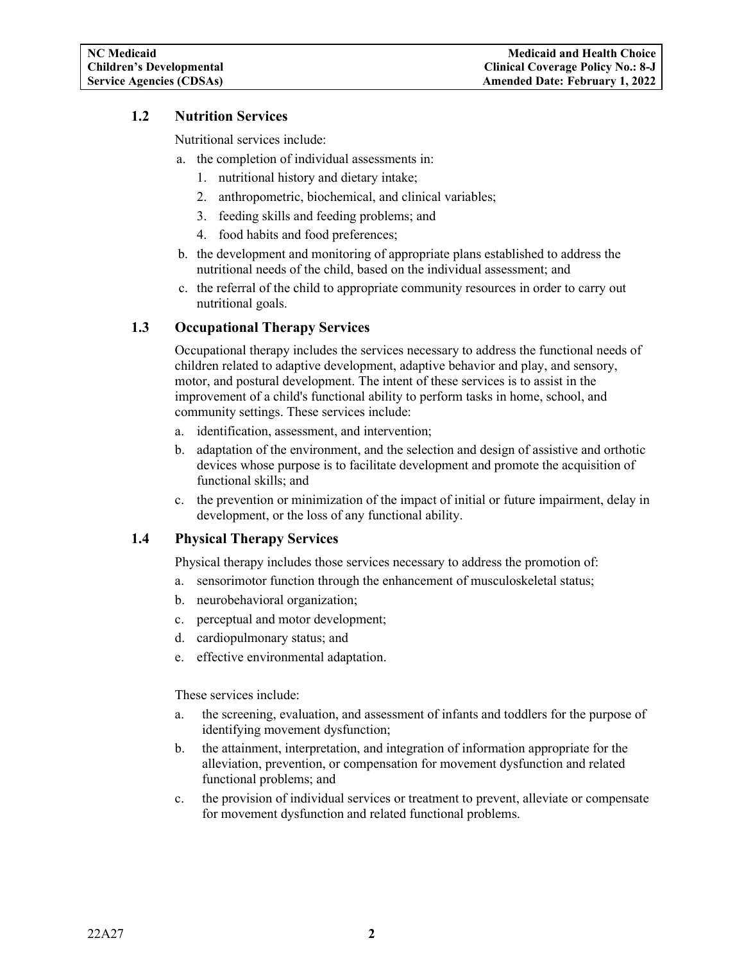### <span id="page-3-0"></span>**1.2 Nutrition Services**

Nutritional services include:

- a. the completion of individual assessments in:
	- 1. nutritional history and dietary intake;
	- 2. anthropometric, biochemical, and clinical variables;
	- 3. feeding skills and feeding problems; and
	- 4. food habits and food preferences;
- b. the development and monitoring of appropriate plans established to address the nutritional needs of the child, based on the individual assessment; and
- c. the referral of the child to appropriate community resources in order to carry out nutritional goals.

## <span id="page-3-1"></span>**1.3 Occupational Therapy Services**

Occupational therapy includes the services necessary to address the functional needs of children related to adaptive development, adaptive behavior and play, and sensory, motor, and postural development. The intent of these services is to assist in the improvement of a child's functional ability to perform tasks in home, school, and community settings. These services include:

- a. identification, assessment, and intervention;
- b. adaptation of the environment, and the selection and design of assistive and orthotic devices whose purpose is to facilitate development and promote the acquisition of functional skills; and
- c. the prevention or minimization of the impact of initial or future impairment, delay in development, or the loss of any functional ability.

### <span id="page-3-2"></span>**1.4 Physical Therapy Services**

Physical therapy includes those services necessary to address the promotion of:

- a. sensorimotor function through the enhancement of musculoskeletal status;
- b. neurobehavioral organization;
- c. perceptual and motor development;
- d. cardiopulmonary status; and
- e. effective environmental adaptation.

These services include:

- a. the screening, evaluation, and assessment of infants and toddlers for the purpose of identifying movement dysfunction;
- b. the attainment, interpretation, and integration of information appropriate for the alleviation, prevention, or compensation for movement dysfunction and related functional problems; and
- c. the provision of individual services or treatment to prevent, alleviate or compensate for movement dysfunction and related functional problems.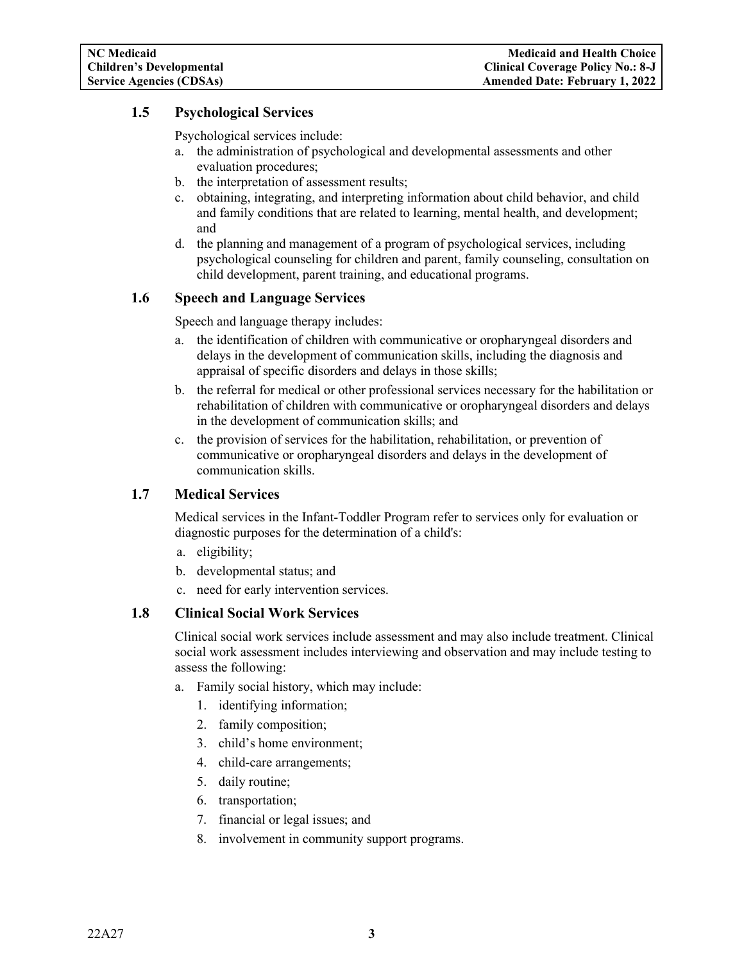## <span id="page-4-0"></span>**1.5 Psychological Services**

Psychological services include:

- a. the administration of psychological and developmental assessments and other evaluation procedures;
- b. the interpretation of assessment results;
- c. obtaining, integrating, and interpreting information about child behavior, and child and family conditions that are related to learning, mental health, and development; and
- d. the planning and management of a program of psychological services, including psychological counseling for children and parent, family counseling, consultation on child development, parent training, and educational programs.

### <span id="page-4-1"></span>**1.6 Speech and Language Services**

Speech and language therapy includes:

- a. the identification of children with communicative or oropharyngeal disorders and delays in the development of communication skills, including the diagnosis and appraisal of specific disorders and delays in those skills;
- b. the referral for medical or other professional services necessary for the habilitation or rehabilitation of children with communicative or oropharyngeal disorders and delays in the development of communication skills; and
- c. the provision of services for the habilitation, rehabilitation, or prevention of communicative or oropharyngeal disorders and delays in the development of communication skills.

### <span id="page-4-2"></span>**1.7 Medical Services**

Medical services in the Infant-Toddler Program refer to services only for evaluation or diagnostic purposes for the determination of a child's:

- a. eligibility;
- b. developmental status; and
- c. need for early intervention services.

#### <span id="page-4-3"></span>**1.8 Clinical Social Work Services**

Clinical social work services include assessment and may also include treatment. Clinical social work assessment includes interviewing and observation and may include testing to assess the following:

- a. Family social history, which may include:
	- 1. identifying information;
	- 2. family composition;
	- 3. child's home environment;
	- 4. child-care arrangements;
	- 5. daily routine;
	- 6. transportation;
	- 7. financial or legal issues; and
	- 8. involvement in community support programs.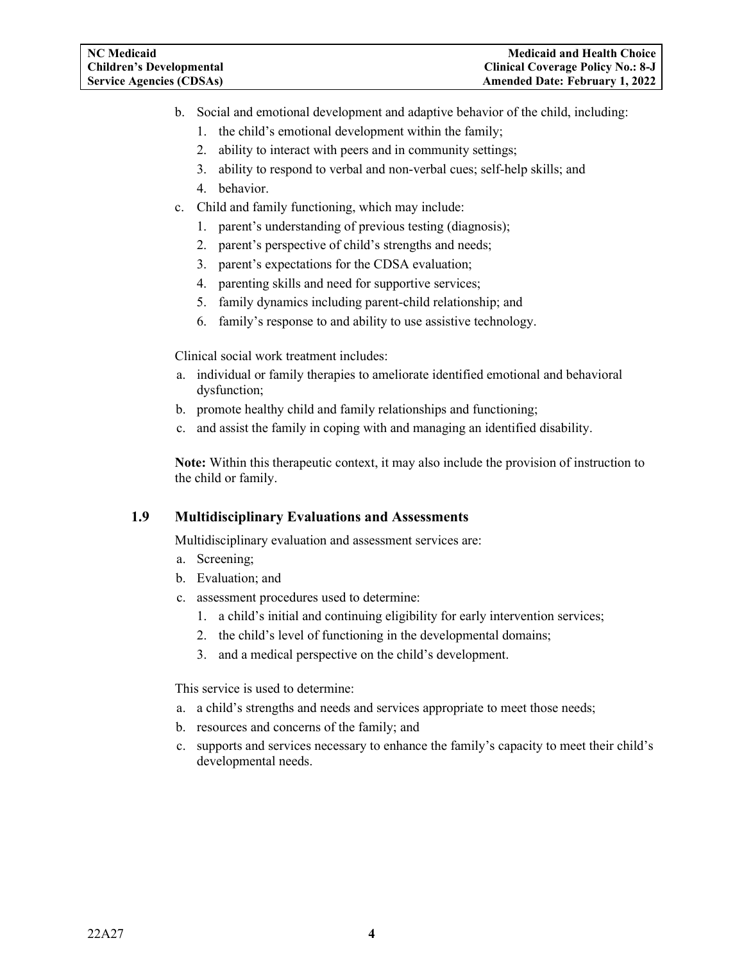- b. Social and emotional development and adaptive behavior of the child, including:
	- 1. the child's emotional development within the family;
	- 2. ability to interact with peers and in community settings;
	- 3. ability to respond to verbal and non-verbal cues; self-help skills; and
	- 4. behavior.
- c. Child and family functioning, which may include:
	- 1. parent's understanding of previous testing (diagnosis);
	- 2. parent's perspective of child's strengths and needs;
	- 3. parent's expectations for the CDSA evaluation;
	- 4. parenting skills and need for supportive services;
	- 5. family dynamics including parent-child relationship; and
	- 6. family's response to and ability to use assistive technology.

Clinical social work treatment includes:

- a. individual or family therapies to ameliorate identified emotional and behavioral dysfunction;
- b. promote healthy child and family relationships and functioning;
- c. and assist the family in coping with and managing an identified disability.

**Note:** Within this therapeutic context, it may also include the provision of instruction to the child or family.

### <span id="page-5-0"></span>**1.9 Multidisciplinary Evaluations and Assessments**

Multidisciplinary evaluation and assessment services are:

- a. Screening;
- b. Evaluation; and
- c. assessment procedures used to determine:
	- 1. a child's initial and continuing eligibility for early intervention services;
	- 2. the child's level of functioning in the developmental domains;
	- 3. and a medical perspective on the child's development.

This service is used to determine:

- a. a child's strengths and needs and services appropriate to meet those needs;
- b. resources and concerns of the family; and
- c. supports and services necessary to enhance the family's capacity to meet their child's developmental needs.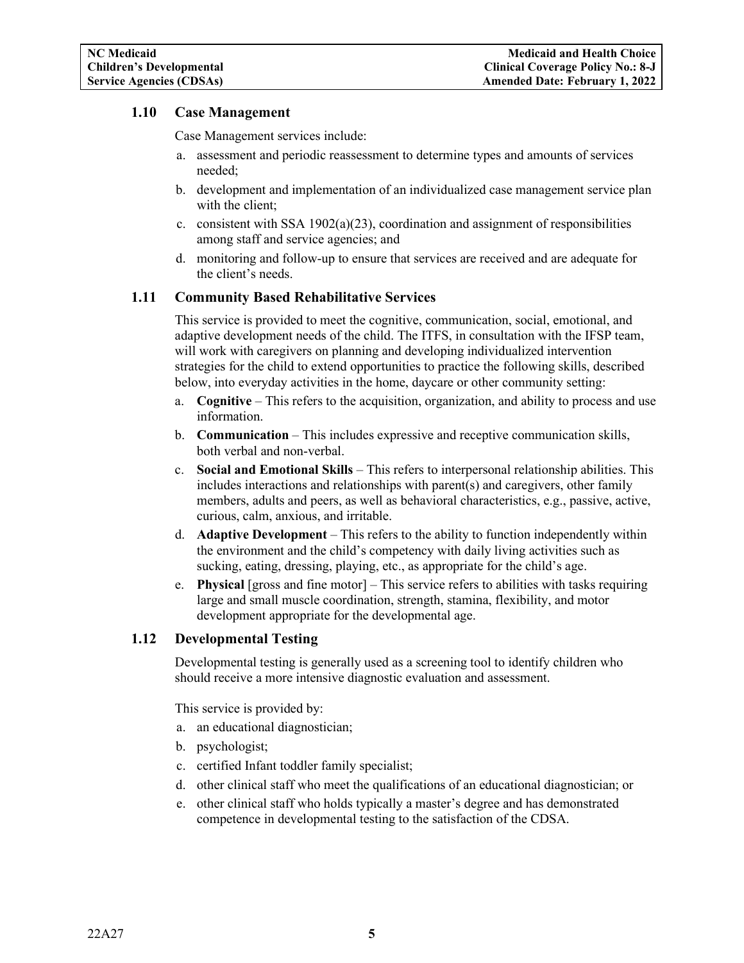### <span id="page-6-0"></span>**1.10 Case Management**

Case Management services include:

- a. assessment and periodic reassessment to determine types and amounts of services needed;
- b. development and implementation of an individualized case management service plan with the client;
- c. consistent with SSA 1902(a)(23), coordination and assignment of responsibilities among staff and service agencies; and
- d. monitoring and follow-up to ensure that services are received and are adequate for the client's needs.

### <span id="page-6-1"></span>**1.11 Community Based Rehabilitative Services**

This service is provided to meet the cognitive, communication, social, emotional, and adaptive development needs of the child. The ITFS, in consultation with the IFSP team, will work with caregivers on planning and developing individualized intervention strategies for the child to extend opportunities to practice the following skills, described below, into everyday activities in the home, daycare or other community setting:

- a. **Cognitive** This refers to the acquisition, organization, and ability to process and use information.
- b. **Communication** This includes expressive and receptive communication skills, both verbal and non-verbal.
- c. **Social and Emotional Skills** This refers to interpersonal relationship abilities. This includes interactions and relationships with parent(s) and caregivers, other family members, adults and peers, as well as behavioral characteristics, e.g., passive, active, curious, calm, anxious, and irritable.
- d. **Adaptive Development** This refers to the ability to function independently within the environment and the child's competency with daily living activities such as sucking, eating, dressing, playing, etc., as appropriate for the child's age.
- e. **Physical** [gross and fine motor] This service refers to abilities with tasks requiring large and small muscle coordination, strength, stamina, flexibility, and motor development appropriate for the developmental age.

### <span id="page-6-2"></span>**1.12 Developmental Testing**

Developmental testing is generally used as a screening tool to identify children who should receive a more intensive diagnostic evaluation and assessment.

This service is provided by:

- a. an educational diagnostician;
- b. psychologist;
- c. certified Infant toddler family specialist;
- d. other clinical staff who meet the qualifications of an educational diagnostician; or
- e. other clinical staff who holds typically a master's degree and has demonstrated competence in developmental testing to the satisfaction of the CDSA.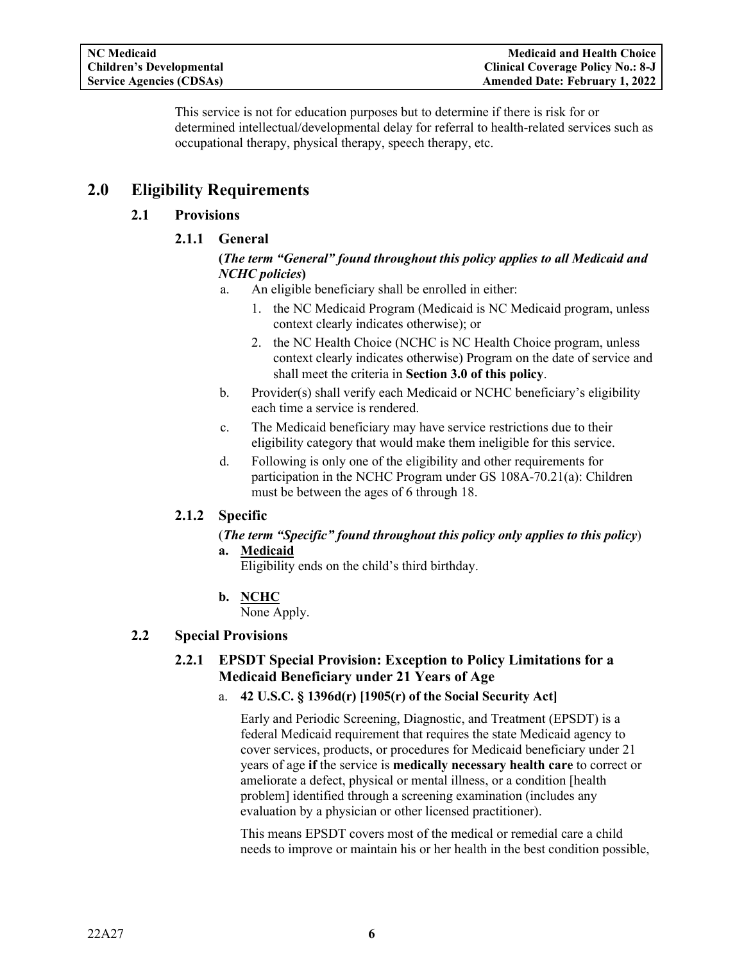This service is not for education purposes but to determine if there is risk for or determined intellectual/developmental delay for referral to health-related services such as occupational therapy, physical therapy, speech therapy, etc.

# <span id="page-7-2"></span><span id="page-7-1"></span><span id="page-7-0"></span>**2.0 Eligibility Requirements**

## **2.1 Provisions**

## **2.1.1 General**

### **(***The term "General" found throughout this policy applies to all Medicaid and NCHC policies***)**

- a. An eligible beneficiary shall be enrolled in either:
	- 1. the NC Medicaid Program (Medicaid is NC Medicaid program, unless context clearly indicates otherwise); or
	- 2. the NC Health Choice (NCHC is NC Health Choice program, unless context clearly indicates otherwise) Program on the date of service and shall meet the criteria in **Section 3.0 of this policy**.
- b. Provider(s) shall verify each Medicaid or NCHC beneficiary's eligibility each time a service is rendered.
- c. The Medicaid beneficiary may have service restrictions due to their eligibility category that would make them ineligible for this service.
- d. Following is only one of the eligibility and other requirements for participation in the NCHC Program under GS 108A-70.21(a): Children must be between the ages of 6 through 18.

## <span id="page-7-3"></span>**2.1.2 Specific**

### (*The term "Specific" found throughout this policy only applies to this policy*)

**a. Medicaid**

Eligibility ends on the child's third birthday.

**b. NCHC** None Apply.

## <span id="page-7-5"></span><span id="page-7-4"></span>**2.2 Special Provisions**

## **2.2.1 EPSDT Special Provision: Exception to Policy Limitations for a Medicaid Beneficiary under 21 Years of Age**

### a. **42 U.S.C. § 1396d(r) [1905(r) of the Social Security Act]**

Early and Periodic Screening, Diagnostic, and Treatment (EPSDT) is a federal Medicaid requirement that requires the state Medicaid agency to cover services, products, or procedures for Medicaid beneficiary under 21 years of age **if** the service is **medically necessary health care** to correct or ameliorate a defect, physical or mental illness, or a condition [health problem] identified through a screening examination (includes any evaluation by a physician or other licensed practitioner).

This means EPSDT covers most of the medical or remedial care a child needs to improve or maintain his or her health in the best condition possible,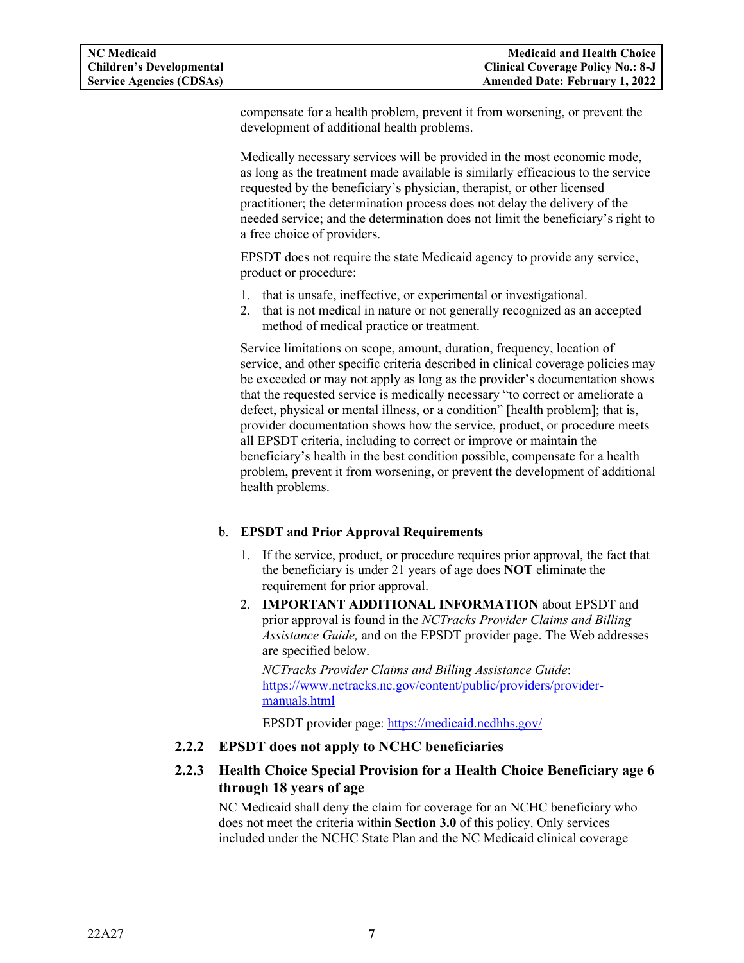compensate for a health problem, prevent it from worsening, or prevent the development of additional health problems.

Medically necessary services will be provided in the most economic mode, as long as the treatment made available is similarly efficacious to the service requested by the beneficiary's physician, therapist, or other licensed practitioner; the determination process does not delay the delivery of the needed service; and the determination does not limit the beneficiary's right to a free choice of providers.

EPSDT does not require the state Medicaid agency to provide any service, product or procedure:

- 1. that is unsafe, ineffective, or experimental or investigational.
- 2. that is not medical in nature or not generally recognized as an accepted method of medical practice or treatment.

Service limitations on scope, amount, duration, frequency, location of service, and other specific criteria described in clinical coverage policies may be exceeded or may not apply as long as the provider's documentation shows that the requested service is medically necessary "to correct or ameliorate a defect, physical or mental illness, or a condition" [health problem]; that is, provider documentation shows how the service, product, or procedure meets all EPSDT criteria, including to correct or improve or maintain the beneficiary's health in the best condition possible, compensate for a health problem, prevent it from worsening, or prevent the development of additional health problems.

### b. **EPSDT and Prior Approval Requirements**

- 1. If the service, product, or procedure requires prior approval, the fact that the beneficiary is under 21 years of age does **NOT** eliminate the requirement for prior approval.
- 2. **IMPORTANT ADDITIONAL INFORMATION** about EPSDT and prior approval is found in the *NCTracks Provider Claims and Billing Assistance Guide,* and on the EPSDT provider page. The Web addresses are specified below.

*NCTracks Provider Claims and Billing Assistance Guide*: [https://www.nctracks.nc.gov/content/public/providers/provider](https://www.nctracks.nc.gov/content/public/providers/provider-manuals.html)[manuals.html](https://www.nctracks.nc.gov/content/public/providers/provider-manuals.html)

EPSDT provider page: [https://medicaid.ncdhhs.gov/](http://dma.ncdhhs.gov/)

### <span id="page-8-0"></span>**2.2.2 EPSDT does not apply to NCHC beneficiaries**

## <span id="page-8-1"></span>**2.2.3 Health Choice Special Provision for a Health Choice Beneficiary age 6 through 18 years of age**

NC Medicaid shall deny the claim for coverage for an NCHC beneficiary who does not meet the criteria within **Section 3.0** of this policy. Only services included under the NCHC State Plan and the NC Medicaid clinical coverage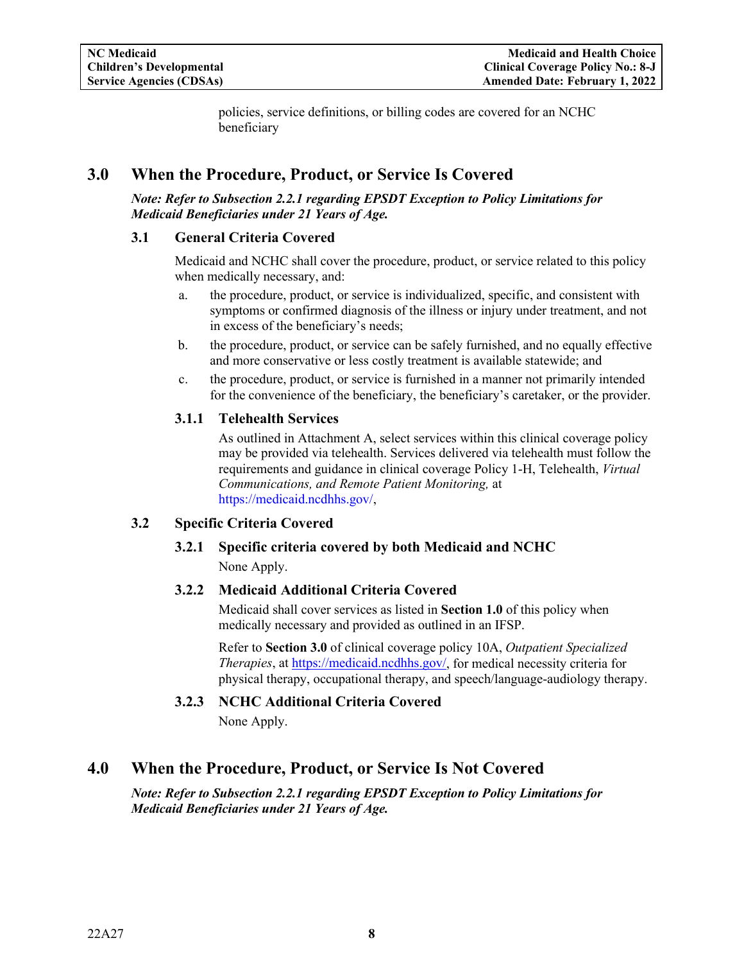policies, service definitions, or billing codes are covered for an NCHC beneficiary

# <span id="page-9-0"></span>**3.0 When the Procedure, Product, or Service Is Covered**

#### *Note: Refer to Subsection 2.2.1 regarding EPSDT Exception to Policy Limitations for Medicaid Beneficiaries under 21 Years of Age.*

#### <span id="page-9-1"></span>**3.1 General Criteria Covered**

Medicaid and NCHC shall cover the procedure, product, or service related to this policy when medically necessary, and:

- a. the procedure, product, or service is individualized, specific, and consistent with symptoms or confirmed diagnosis of the illness or injury under treatment, and not in excess of the beneficiary's needs;
- b. the procedure, product, or service can be safely furnished, and no equally effective and more conservative or less costly treatment is available statewide; and
- c. the procedure, product, or service is furnished in a manner not primarily intended for the convenience of the beneficiary, the beneficiary's caretaker, or the provider.

### <span id="page-9-2"></span>**3.1.1 Telehealth Services**

As outlined in Attachment A, select services within this clinical coverage policy may be provided via telehealth. Services delivered via telehealth must follow the requirements and guidance in clinical coverage Policy 1-H, Telehealth, *Virtual Communications, and Remote Patient Monitoring,* at [https://medicaid.ncdhhs.gov/,](https://medicaid.ncdhhs.gov/)

### <span id="page-9-5"></span><span id="page-9-4"></span><span id="page-9-3"></span>**3.2 Specific Criteria Covered**

## **3.2.1 Specific criteria covered by both Medicaid and NCHC** None Apply.

### **3.2.2 Medicaid Additional Criteria Covered**

Medicaid shall cover services as listed in **Section 1.0** of this policy when medically necessary and provided as outlined in an IFSP.

Refer to **Section 3.0** of clinical coverage policy 10A, *Outpatient Specialized Therapies*, at [https://medicaid.ncdhhs.gov/,](http://dma.ncdhhs.gov/) for medical necessity criteria for physical therapy, occupational therapy, and speech/language-audiology therapy.

### **3.2.3 NCHC Additional Criteria Covered**

None Apply.

# <span id="page-9-7"></span><span id="page-9-6"></span>**4.0 When the Procedure, Product, or Service Is Not Covered**

*Note: Refer to Subsection 2.2.1 regarding EPSDT Exception to Policy Limitations for Medicaid Beneficiaries under 21 Years of Age.*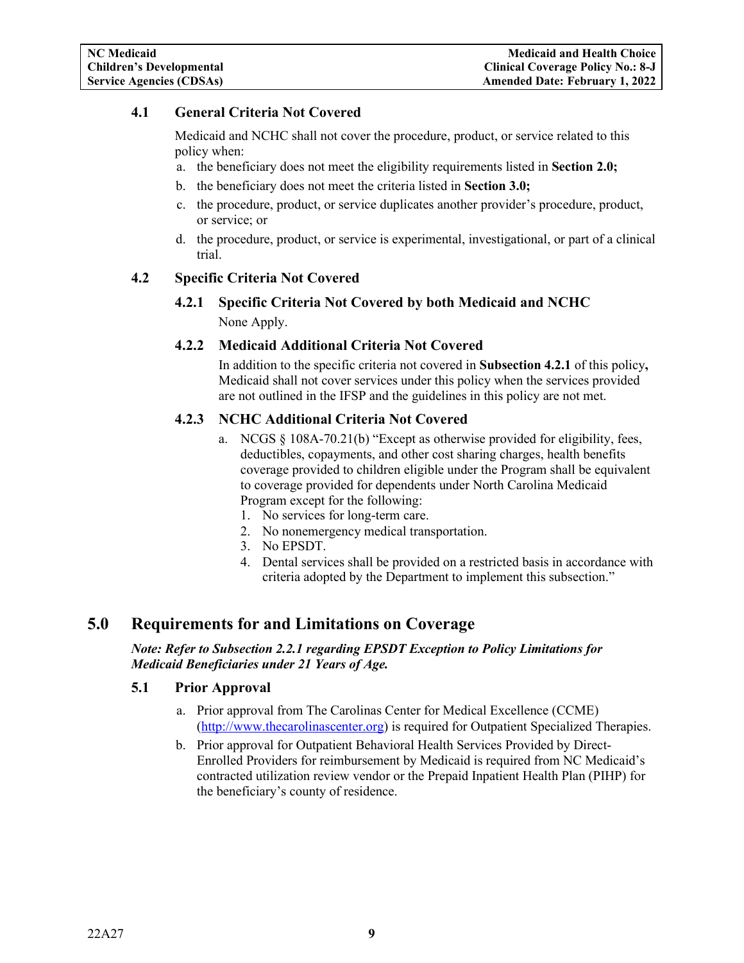## <span id="page-10-0"></span>**4.1 General Criteria Not Covered**

Medicaid and NCHC shall not cover the procedure, product, or service related to this policy when:

- a. the beneficiary does not meet the eligibility requirements listed in **Section 2.0;**
- b. the beneficiary does not meet the criteria listed in **Section 3.0;**
- c. the procedure, product, or service duplicates another provider's procedure, product, or service; or
- d. the procedure, product, or service is experimental, investigational, or part of a clinical trial.

#### <span id="page-10-3"></span><span id="page-10-2"></span><span id="page-10-1"></span>**4.2 Specific Criteria Not Covered**

**4.2.1 Specific Criteria Not Covered by both Medicaid and NCHC** None Apply.

#### **4.2.2 Medicaid Additional Criteria Not Covered**

In addition to the specific criteria not covered in **Subsection 4.2.1** of this policy**,** Medicaid shall not cover services under this policy when the services provided are not outlined in the IFSP and the guidelines in this policy are not met.

### <span id="page-10-4"></span>**4.2.3 NCHC Additional Criteria Not Covered**

- a. NCGS  $\S$  108A-70.21(b) "Except as otherwise provided for eligibility, fees, deductibles, copayments, and other cost sharing charges, health benefits coverage provided to children eligible under the Program shall be equivalent to coverage provided for dependents under North Carolina Medicaid Program except for the following:
	- 1. No services for long-term care.
	- 2. No nonemergency medical transportation.
	- 3. No EPSDT.
	- 4. Dental services shall be provided on a restricted basis in accordance with criteria adopted by the Department to implement this subsection."

## <span id="page-10-5"></span>**5.0 Requirements for and Limitations on Coverage**

*Note: Refer to Subsection 2.2.1 regarding EPSDT Exception to Policy Limitations for Medicaid Beneficiaries under 21 Years of Age.*

#### <span id="page-10-6"></span>**5.1 Prior Approval**

- a. Prior approval from The Carolinas Center for Medical Excellence (CCME) [\(http://www.thecarolinascenter.org\)](http://www.thecarolinascenter.org/) is required for Outpatient Specialized Therapies.
- b. Prior approval for [Outpatient Behavioral Health Services Provided by Direct-](http://www.ncdhhs.gov/dma/mp/8C.pdf)[Enrolled Providers](http://www.ncdhhs.gov/dma/mp/8C.pdf) for reimbursement by Medicaid is required from NC Medicaid's contracted utilization review vendor or the Prepaid Inpatient Health Plan (PIHP) for the beneficiary's county of residence.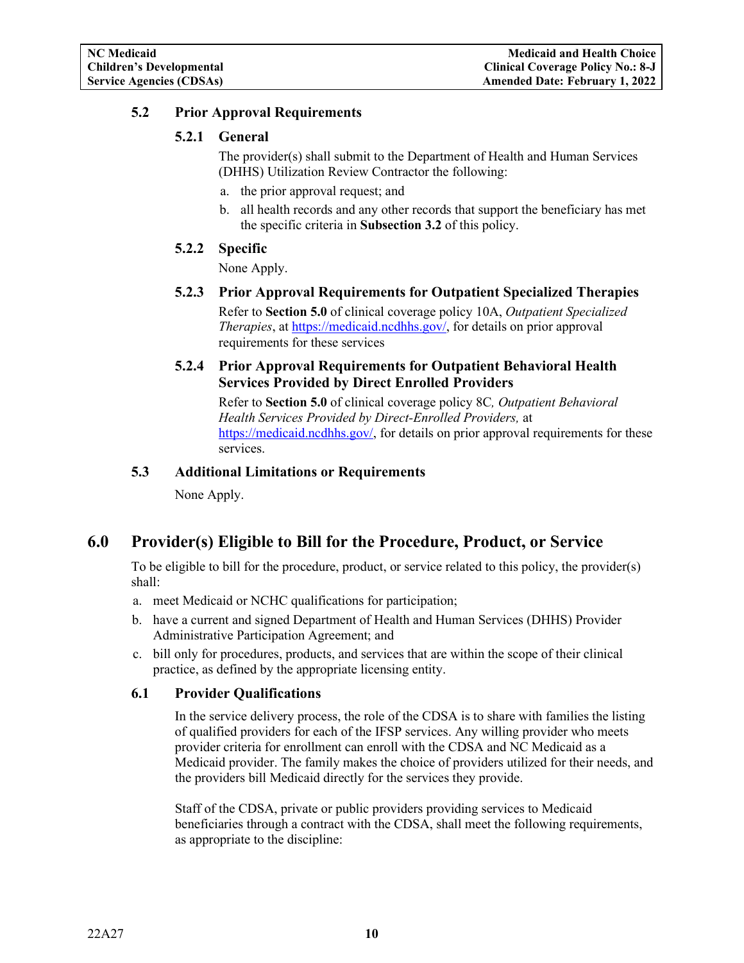## <span id="page-11-1"></span><span id="page-11-0"></span>**5.2 Prior Approval Requirements**

## **5.2.1 General**

The provider(s) shall submit to the Department of Health and Human Services (DHHS) Utilization Review Contractor the following:

- a. the prior approval request; and
- b. all health records and any other records that support the beneficiary has met the specific criteria in **Subsection 3.2** of this policy.

## <span id="page-11-2"></span>**5.2.2 Specific**

None Apply.

<span id="page-11-3"></span>**5.2.3 Prior Approval Requirements for Outpatient Specialized Therapies** Refer to **Section 5.0** of clinical coverage policy 10A, *Outpatient Specialized Therapies*, at [https://medicaid.ncdhhs.gov/,](http://dma.ncdhhs.gov/) for details on prior approval requirements for these services

## <span id="page-11-4"></span>**5.2.4 Prior Approval Requirements for Outpatient Behavioral Health Services Provided by Direct Enrolled Providers**

Refer to **Section 5.0** of clinical coverage policy 8C*, [Outpatient Behavioral](http://www.ncdhhs.gov/dma/mp/8C.pdf)  [Health Services Provided by Direct-Enrolled Providers,](http://www.ncdhhs.gov/dma/mp/8C.pdf)* at [https://medicaid.ncdhhs.gov/,](http://dma.ncdhhs.gov/) for details on prior approval requirements for these services.

## <span id="page-11-5"></span>**5.3 Additional Limitations or Requirements**

None Apply.

# <span id="page-11-6"></span>**6.0 Provider(s) Eligible to Bill for the Procedure, Product, or Service**

To be eligible to bill for the procedure, product, or service related to this policy, the provider(s) shall:

- a. meet Medicaid or NCHC qualifications for participation;
- b. have a current and signed Department of Health and Human Services (DHHS) Provider Administrative Participation Agreement; and
- c. bill only for procedures, products, and services that are within the scope of their clinical practice, as defined by the appropriate licensing entity.

### <span id="page-11-7"></span>**6.1 Provider Qualifications**

In the service delivery process, the role of the CDSA is to share with families the listing of qualified providers for each of the IFSP services. Any willing provider who meets provider criteria for enrollment can enroll with the CDSA and NC Medicaid as a Medicaid provider. The family makes the choice of providers utilized for their needs, and the providers bill Medicaid directly for the services they provide.

Staff of the CDSA, private or public providers providing services to Medicaid beneficiaries through a contract with the CDSA, shall meet the following requirements, as appropriate to the discipline: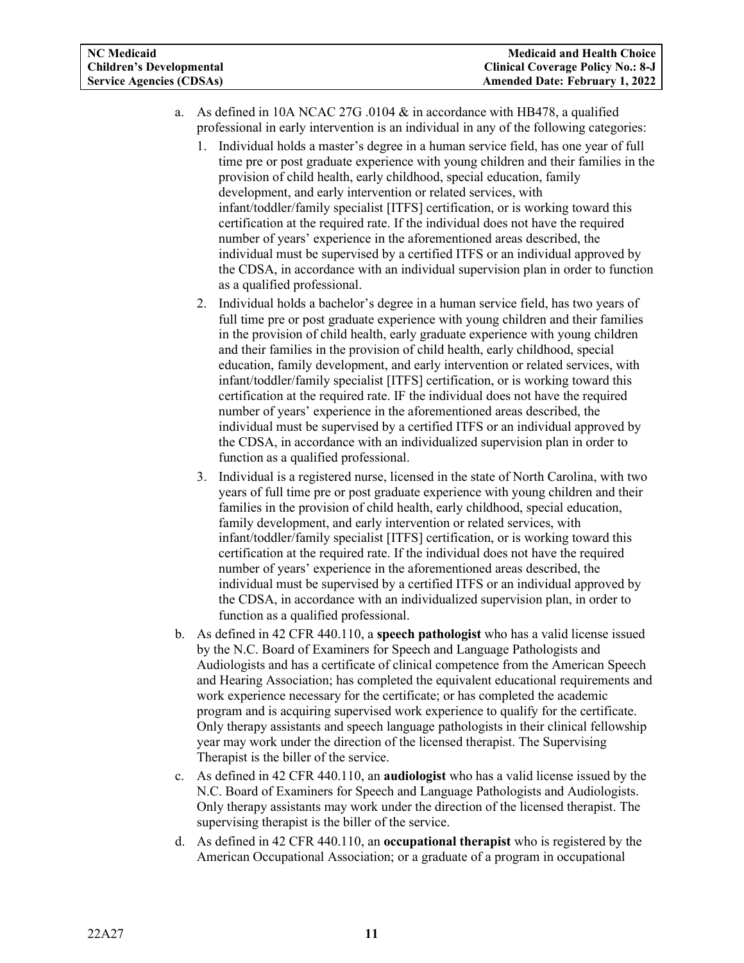- a. As defined in 10A NCAC 27G .0104 & in accordance with HB478, a qualified professional in early intervention is an individual in any of the following categories:
	- 1. Individual holds a master's degree in a human service field, has one year of full time pre or post graduate experience with young children and their families in the provision of child health, early childhood, special education, family development, and early intervention or related services, with infant/toddler/family specialist [ITFS] certification, or is working toward this certification at the required rate. If the individual does not have the required number of years' experience in the aforementioned areas described, the individual must be supervised by a certified ITFS or an individual approved by the CDSA, in accordance with an individual supervision plan in order to function as a qualified professional.
	- 2. Individual holds a bachelor's degree in a human service field, has two years of full time pre or post graduate experience with young children and their families in the provision of child health, early graduate experience with young children and their families in the provision of child health, early childhood, special education, family development, and early intervention or related services, with infant/toddler/family specialist [ITFS] certification, or is working toward this certification at the required rate. IF the individual does not have the required number of years' experience in the aforementioned areas described, the individual must be supervised by a certified ITFS or an individual approved by the CDSA, in accordance with an individualized supervision plan in order to function as a qualified professional.
	- 3. Individual is a registered nurse, licensed in the state of North Carolina, with two years of full time pre or post graduate experience with young children and their families in the provision of child health, early childhood, special education, family development, and early intervention or related services, with infant/toddler/family specialist [ITFS] certification, or is working toward this certification at the required rate. If the individual does not have the required number of years' experience in the aforementioned areas described, the individual must be supervised by a certified ITFS or an individual approved by the CDSA, in accordance with an individualized supervision plan, in order to function as a qualified professional.
- b. As defined in 42 CFR 440.110, a **speech pathologist** who has a valid license issued by the N.C. Board of Examiners for Speech and Language Pathologists and Audiologists and has a certificate of clinical competence from the American Speech and Hearing Association; has completed the equivalent educational requirements and work experience necessary for the certificate; or has completed the academic program and is acquiring supervised work experience to qualify for the certificate. Only therapy assistants and speech language pathologists in their clinical fellowship year may work under the direction of the licensed therapist. The Supervising Therapist is the biller of the service.
- c. As defined in 42 CFR 440.110, an **audiologist** who has a valid license issued by the N.C. Board of Examiners for Speech and Language Pathologists and Audiologists. Only therapy assistants may work under the direction of the licensed therapist. The supervising therapist is the biller of the service.
- d. As defined in 42 CFR 440.110, an **occupational therapist** who is registered by the American Occupational Association; or a graduate of a program in occupational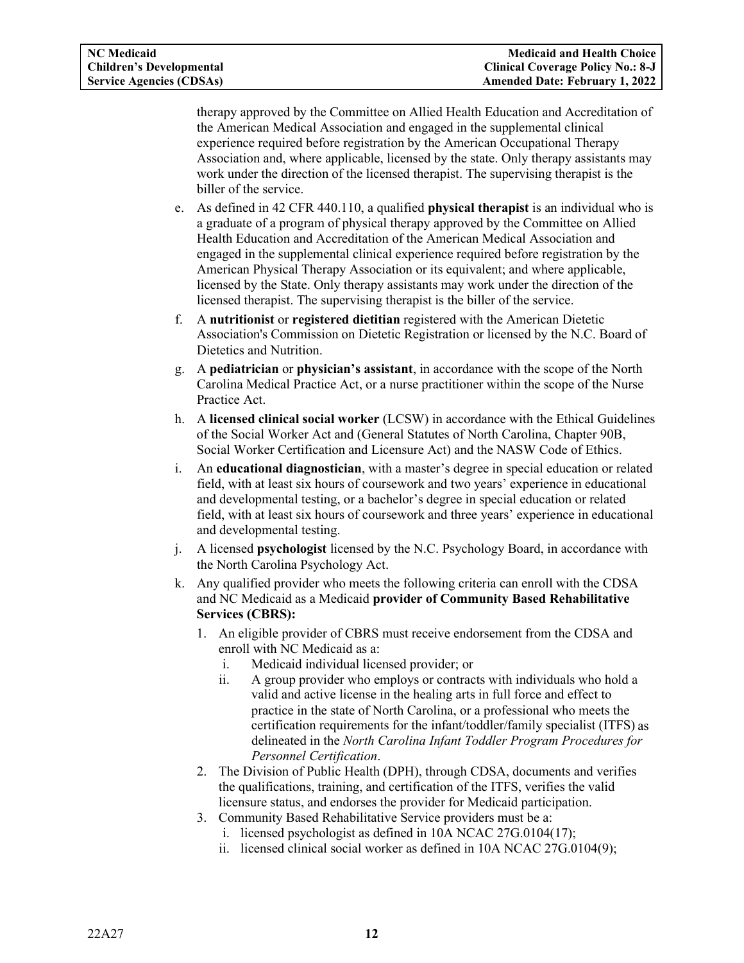therapy approved by the Committee on Allied Health Education and Accreditation of the American Medical Association and engaged in the supplemental clinical experience required before registration by the American Occupational Therapy Association and, where applicable, licensed by the state. Only therapy assistants may work under the direction of the licensed therapist. The supervising therapist is the biller of the service.

- e. As defined in 42 CFR 440.110, a qualified **physical therapist** is an individual who is a graduate of a program of physical therapy approved by the Committee on Allied Health Education and Accreditation of the American Medical Association and engaged in the supplemental clinical experience required before registration by the American Physical Therapy Association or its equivalent; and where applicable, licensed by the State. Only therapy assistants may work under the direction of the licensed therapist. The supervising therapist is the biller of the service.
- f. A **nutritionist** or **registered dietitian** registered with the American Dietetic Association's Commission on Dietetic Registration or licensed by the N.C. Board of Dietetics and Nutrition.
- g. A **pediatrician** or **physician's assistant**, in accordance with the scope of the North Carolina Medical Practice Act, or a nurse practitioner within the scope of the Nurse Practice Act.
- h. A **licensed clinical social worker** (LCSW) in accordance with the Ethical Guidelines of the Social Worker Act and (General Statutes of North Carolina, Chapter 90B, Social Worker Certification and Licensure Act) and the NASW Code of Ethics.
- i. An **educational diagnostician**, with a master's degree in special education or related field, with at least six hours of coursework and two years' experience in educational and developmental testing, or a bachelor's degree in special education or related field, with at least six hours of coursework and three years' experience in educational and developmental testing.
- j. A licensed **psychologist** licensed by the N.C. Psychology Board, in accordance with the North Carolina Psychology Act.
- k. Any qualified provider who meets the following criteria can enroll with the CDSA and NC Medicaid as a Medicaid **provider of Community Based Rehabilitative Services (CBRS):**
	- 1. An eligible provider of CBRS must receive endorsement from the CDSA and enroll with NC Medicaid as a:
		- i. Medicaid individual licensed provider; or
		- ii. A group provider who employs or contracts with individuals who hold a valid and active license in the healing arts in full force and effect to practice in the state of North Carolina, or a professional who meets the certification requirements for the infant/toddler/family specialist (ITFS) as delineated in the *North Carolina Infant Toddler Program Procedures for Personnel Certification*.
	- 2. The Division of Public Health (DPH), through CDSA, documents and verifies the qualifications, training, and certification of the ITFS, verifies the valid licensure status, and endorses the provider for Medicaid participation.
	- 3. Community Based Rehabilitative Service providers must be a:
		- i. licensed psychologist as defined in 10A NCAC 27G.0104(17);
		- ii. licensed clinical social worker as defined in 10A NCAC 27G.0104(9);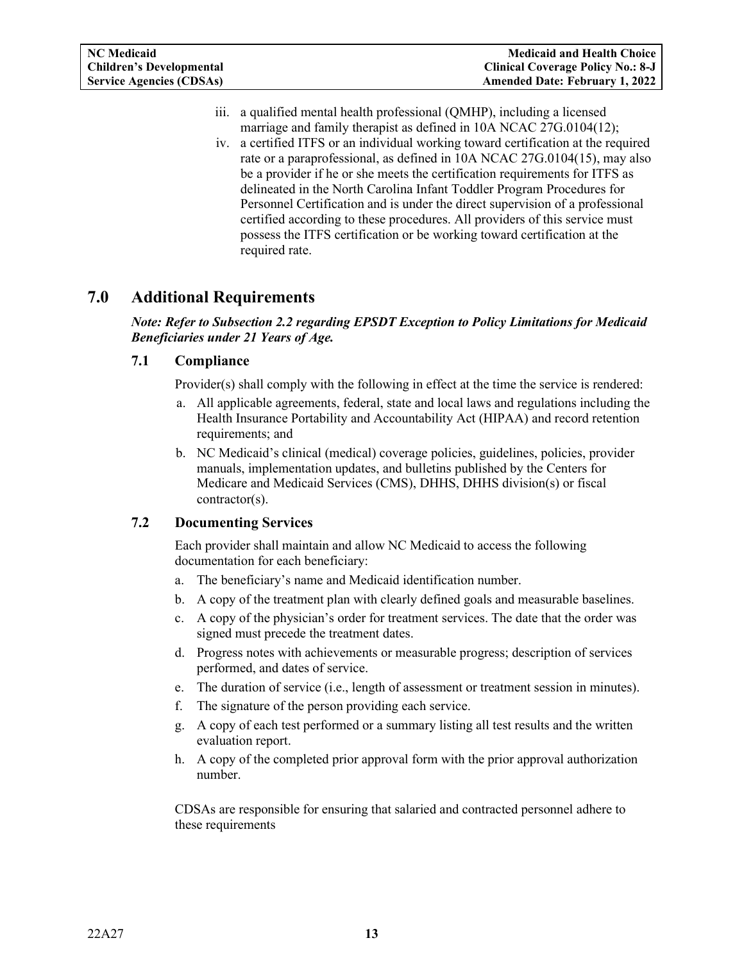- iii. a qualified mental health professional (QMHP), including a licensed marriage and family therapist as defined in 10A NCAC 27G.0104(12);
- iv. a certified ITFS or an individual working toward certification at the required rate or a paraprofessional, as defined in 10A NCAC 27G.0104(15), may also be a provider if he or she meets the certification requirements for ITFS as delineated in the North Carolina Infant Toddler Program Procedures for Personnel Certification and is under the direct supervision of a professional certified according to these procedures. All providers of this service must possess the ITFS certification or be working toward certification at the required rate.

# <span id="page-14-0"></span>**7.0 Additional Requirements**

*Note: Refer to Subsection 2.2 regarding EPSDT Exception to Policy Limitations for Medicaid Beneficiaries under 21 Years of Age.*

#### <span id="page-14-1"></span>**7.1 Compliance**

Provider(s) shall comply with the following in effect at the time the service is rendered:

- a. All applicable agreements, federal, state and local laws and regulations including the Health Insurance Portability and Accountability Act (HIPAA) and record retention requirements; and
- b. NC Medicaid's clinical (medical) coverage policies, guidelines, policies, provider manuals, implementation updates, and bulletins published by the Centers for Medicare and Medicaid Services (CMS), DHHS, DHHS division(s) or fiscal contractor(s).

### <span id="page-14-2"></span>**7.2 Documenting Services**

Each provider shall maintain and allow NC Medicaid to access the following documentation for each beneficiary:

- a. The beneficiary's name and Medicaid identification number.
- b. A copy of the treatment plan with clearly defined goals and measurable baselines.
- c. A copy of the physician's order for treatment services. The date that the order was signed must precede the treatment dates.
- d. Progress notes with achievements or measurable progress; description of services performed, and dates of service.
- e. The duration of service (i.e., length of assessment or treatment session in minutes).
- f. The signature of the person providing each service.
- g. A copy of each test performed or a summary listing all test results and the written evaluation report.
- h. A copy of the completed prior approval form with the prior approval authorization number.

CDSAs are responsible for ensuring that salaried and contracted personnel adhere to these requirements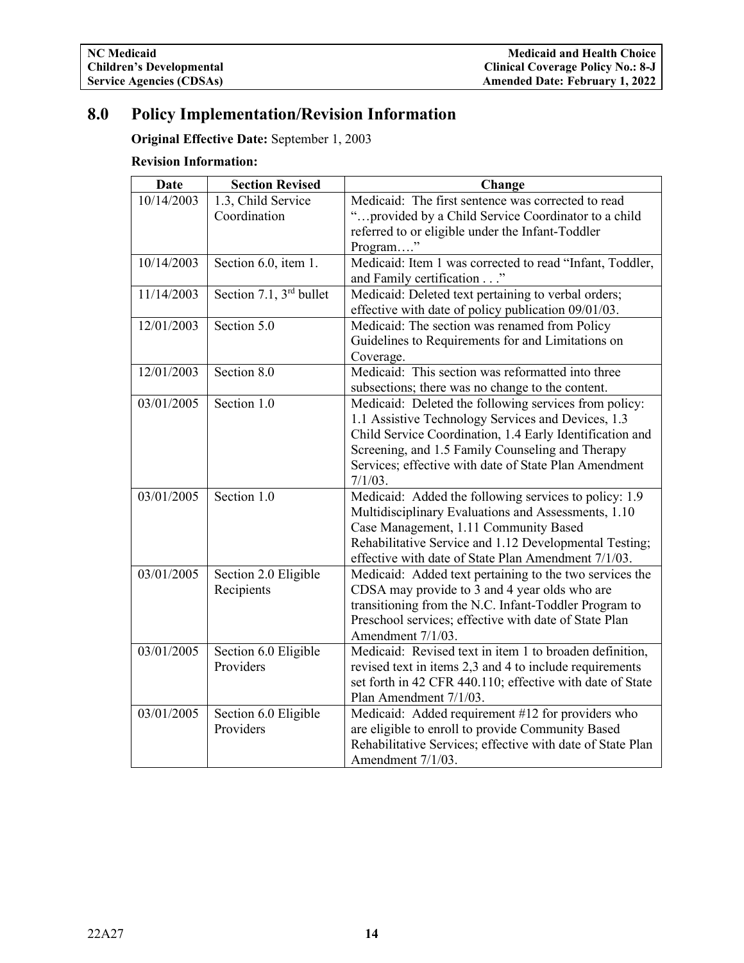# <span id="page-15-0"></span>**8.0 Policy Implementation/Revision Information**

**Original Effective Date:** September 1, 2003

## **Revision Information:**

| <b>Date</b> | <b>Section Revised</b>              | Change                                                                                                                                                                                                                                                                                             |
|-------------|-------------------------------------|----------------------------------------------------------------------------------------------------------------------------------------------------------------------------------------------------------------------------------------------------------------------------------------------------|
| 10/14/2003  | 1.3, Child Service<br>Coordination  | Medicaid: The first sentence was corrected to read<br>"provided by a Child Service Coordinator to a child                                                                                                                                                                                          |
|             |                                     | referred to or eligible under the Infant-Toddler<br>Program"                                                                                                                                                                                                                                       |
| 10/14/2003  | Section 6.0, item 1.                | Medicaid: Item 1 was corrected to read "Infant, Toddler,<br>and Family certification"                                                                                                                                                                                                              |
| 11/14/2003  | Section 7.1, 3 <sup>rd</sup> bullet | Medicaid: Deleted text pertaining to verbal orders;<br>effective with date of policy publication 09/01/03.                                                                                                                                                                                         |
| 12/01/2003  | Section 5.0                         | Medicaid: The section was renamed from Policy<br>Guidelines to Requirements for and Limitations on<br>Coverage.                                                                                                                                                                                    |
| 12/01/2003  | Section 8.0                         | Medicaid: This section was reformatted into three<br>subsections; there was no change to the content.                                                                                                                                                                                              |
| 03/01/2005  | Section 1.0                         | Medicaid: Deleted the following services from policy:<br>1.1 Assistive Technology Services and Devices, 1.3<br>Child Service Coordination, 1.4 Early Identification and<br>Screening, and 1.5 Family Counseling and Therapy<br>Services; effective with date of State Plan Amendment<br>$7/1/03$ . |
| 03/01/2005  | Section 1.0                         | Medicaid: Added the following services to policy: 1.9<br>Multidisciplinary Evaluations and Assessments, 1.10<br>Case Management, 1.11 Community Based<br>Rehabilitative Service and 1.12 Developmental Testing;<br>effective with date of State Plan Amendment 7/1/03.                             |
| 03/01/2005  | Section 2.0 Eligible<br>Recipients  | Medicaid: Added text pertaining to the two services the<br>CDSA may provide to 3 and 4 year olds who are<br>transitioning from the N.C. Infant-Toddler Program to<br>Preschool services; effective with date of State Plan<br>Amendment 7/1/03.                                                    |
| 03/01/2005  | Section 6.0 Eligible<br>Providers   | Medicaid: Revised text in item 1 to broaden definition,<br>revised text in items 2,3 and 4 to include requirements<br>set forth in 42 CFR 440.110; effective with date of State<br>Plan Amendment 7/1/03.                                                                                          |
| 03/01/2005  | Section 6.0 Eligible<br>Providers   | Medicaid: Added requirement #12 for providers who<br>are eligible to enroll to provide Community Based<br>Rehabilitative Services; effective with date of State Plan<br>Amendment 7/1/03.                                                                                                          |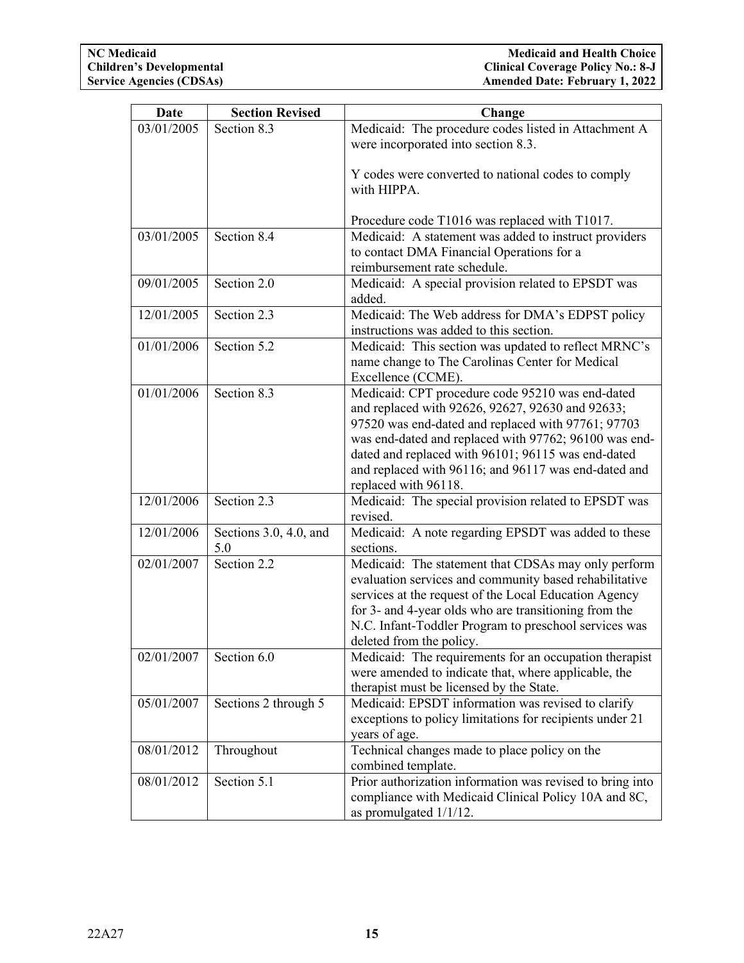| Date                                                                                                         | <b>Section Revised</b>                                                                                                       | Change                                                                                                                                                                                                                                                                                                                                                                                                                                                                                                                                                                                                                                                                                                                                                                                                                                                                                                                                                                                                                                                                                                                                                                                                                                                                                                                                                                                 |
|--------------------------------------------------------------------------------------------------------------|------------------------------------------------------------------------------------------------------------------------------|----------------------------------------------------------------------------------------------------------------------------------------------------------------------------------------------------------------------------------------------------------------------------------------------------------------------------------------------------------------------------------------------------------------------------------------------------------------------------------------------------------------------------------------------------------------------------------------------------------------------------------------------------------------------------------------------------------------------------------------------------------------------------------------------------------------------------------------------------------------------------------------------------------------------------------------------------------------------------------------------------------------------------------------------------------------------------------------------------------------------------------------------------------------------------------------------------------------------------------------------------------------------------------------------------------------------------------------------------------------------------------------|
| 03/01/2005                                                                                                   | Section 8.3                                                                                                                  | Medicaid: The procedure codes listed in Attachment A                                                                                                                                                                                                                                                                                                                                                                                                                                                                                                                                                                                                                                                                                                                                                                                                                                                                                                                                                                                                                                                                                                                                                                                                                                                                                                                                   |
|                                                                                                              |                                                                                                                              | were incorporated into section 8.3.                                                                                                                                                                                                                                                                                                                                                                                                                                                                                                                                                                                                                                                                                                                                                                                                                                                                                                                                                                                                                                                                                                                                                                                                                                                                                                                                                    |
|                                                                                                              |                                                                                                                              |                                                                                                                                                                                                                                                                                                                                                                                                                                                                                                                                                                                                                                                                                                                                                                                                                                                                                                                                                                                                                                                                                                                                                                                                                                                                                                                                                                                        |
|                                                                                                              |                                                                                                                              | Y codes were converted to national codes to comply                                                                                                                                                                                                                                                                                                                                                                                                                                                                                                                                                                                                                                                                                                                                                                                                                                                                                                                                                                                                                                                                                                                                                                                                                                                                                                                                     |
|                                                                                                              |                                                                                                                              | with HIPPA.                                                                                                                                                                                                                                                                                                                                                                                                                                                                                                                                                                                                                                                                                                                                                                                                                                                                                                                                                                                                                                                                                                                                                                                                                                                                                                                                                                            |
|                                                                                                              |                                                                                                                              |                                                                                                                                                                                                                                                                                                                                                                                                                                                                                                                                                                                                                                                                                                                                                                                                                                                                                                                                                                                                                                                                                                                                                                                                                                                                                                                                                                                        |
|                                                                                                              |                                                                                                                              | Procedure code T1016 was replaced with T1017.                                                                                                                                                                                                                                                                                                                                                                                                                                                                                                                                                                                                                                                                                                                                                                                                                                                                                                                                                                                                                                                                                                                                                                                                                                                                                                                                          |
| 03/01/2005                                                                                                   | Section 8.4                                                                                                                  | Medicaid: A statement was added to instruct providers                                                                                                                                                                                                                                                                                                                                                                                                                                                                                                                                                                                                                                                                                                                                                                                                                                                                                                                                                                                                                                                                                                                                                                                                                                                                                                                                  |
|                                                                                                              |                                                                                                                              | to contact DMA Financial Operations for a                                                                                                                                                                                                                                                                                                                                                                                                                                                                                                                                                                                                                                                                                                                                                                                                                                                                                                                                                                                                                                                                                                                                                                                                                                                                                                                                              |
|                                                                                                              |                                                                                                                              | reimbursement rate schedule.                                                                                                                                                                                                                                                                                                                                                                                                                                                                                                                                                                                                                                                                                                                                                                                                                                                                                                                                                                                                                                                                                                                                                                                                                                                                                                                                                           |
|                                                                                                              |                                                                                                                              |                                                                                                                                                                                                                                                                                                                                                                                                                                                                                                                                                                                                                                                                                                                                                                                                                                                                                                                                                                                                                                                                                                                                                                                                                                                                                                                                                                                        |
|                                                                                                              |                                                                                                                              |                                                                                                                                                                                                                                                                                                                                                                                                                                                                                                                                                                                                                                                                                                                                                                                                                                                                                                                                                                                                                                                                                                                                                                                                                                                                                                                                                                                        |
|                                                                                                              |                                                                                                                              |                                                                                                                                                                                                                                                                                                                                                                                                                                                                                                                                                                                                                                                                                                                                                                                                                                                                                                                                                                                                                                                                                                                                                                                                                                                                                                                                                                                        |
|                                                                                                              |                                                                                                                              |                                                                                                                                                                                                                                                                                                                                                                                                                                                                                                                                                                                                                                                                                                                                                                                                                                                                                                                                                                                                                                                                                                                                                                                                                                                                                                                                                                                        |
|                                                                                                              |                                                                                                                              |                                                                                                                                                                                                                                                                                                                                                                                                                                                                                                                                                                                                                                                                                                                                                                                                                                                                                                                                                                                                                                                                                                                                                                                                                                                                                                                                                                                        |
|                                                                                                              |                                                                                                                              |                                                                                                                                                                                                                                                                                                                                                                                                                                                                                                                                                                                                                                                                                                                                                                                                                                                                                                                                                                                                                                                                                                                                                                                                                                                                                                                                                                                        |
|                                                                                                              |                                                                                                                              |                                                                                                                                                                                                                                                                                                                                                                                                                                                                                                                                                                                                                                                                                                                                                                                                                                                                                                                                                                                                                                                                                                                                                                                                                                                                                                                                                                                        |
|                                                                                                              |                                                                                                                              |                                                                                                                                                                                                                                                                                                                                                                                                                                                                                                                                                                                                                                                                                                                                                                                                                                                                                                                                                                                                                                                                                                                                                                                                                                                                                                                                                                                        |
|                                                                                                              |                                                                                                                              |                                                                                                                                                                                                                                                                                                                                                                                                                                                                                                                                                                                                                                                                                                                                                                                                                                                                                                                                                                                                                                                                                                                                                                                                                                                                                                                                                                                        |
|                                                                                                              |                                                                                                                              |                                                                                                                                                                                                                                                                                                                                                                                                                                                                                                                                                                                                                                                                                                                                                                                                                                                                                                                                                                                                                                                                                                                                                                                                                                                                                                                                                                                        |
|                                                                                                              |                                                                                                                              |                                                                                                                                                                                                                                                                                                                                                                                                                                                                                                                                                                                                                                                                                                                                                                                                                                                                                                                                                                                                                                                                                                                                                                                                                                                                                                                                                                                        |
|                                                                                                              |                                                                                                                              |                                                                                                                                                                                                                                                                                                                                                                                                                                                                                                                                                                                                                                                                                                                                                                                                                                                                                                                                                                                                                                                                                                                                                                                                                                                                                                                                                                                        |
|                                                                                                              |                                                                                                                              |                                                                                                                                                                                                                                                                                                                                                                                                                                                                                                                                                                                                                                                                                                                                                                                                                                                                                                                                                                                                                                                                                                                                                                                                                                                                                                                                                                                        |
| 12/01/2006                                                                                                   | Section 2.3                                                                                                                  |                                                                                                                                                                                                                                                                                                                                                                                                                                                                                                                                                                                                                                                                                                                                                                                                                                                                                                                                                                                                                                                                                                                                                                                                                                                                                                                                                                                        |
|                                                                                                              |                                                                                                                              | revised.                                                                                                                                                                                                                                                                                                                                                                                                                                                                                                                                                                                                                                                                                                                                                                                                                                                                                                                                                                                                                                                                                                                                                                                                                                                                                                                                                                               |
| 12/01/2006                                                                                                   | Sections 3.0, 4.0, and                                                                                                       | Medicaid: A note regarding EPSDT was added to these                                                                                                                                                                                                                                                                                                                                                                                                                                                                                                                                                                                                                                                                                                                                                                                                                                                                                                                                                                                                                                                                                                                                                                                                                                                                                                                                    |
|                                                                                                              | 5.0                                                                                                                          | sections.                                                                                                                                                                                                                                                                                                                                                                                                                                                                                                                                                                                                                                                                                                                                                                                                                                                                                                                                                                                                                                                                                                                                                                                                                                                                                                                                                                              |
| 02/01/2007                                                                                                   | Section 2.2                                                                                                                  | Medicaid: The statement that CDSAs may only perform                                                                                                                                                                                                                                                                                                                                                                                                                                                                                                                                                                                                                                                                                                                                                                                                                                                                                                                                                                                                                                                                                                                                                                                                                                                                                                                                    |
|                                                                                                              |                                                                                                                              | evaluation services and community based rehabilitative                                                                                                                                                                                                                                                                                                                                                                                                                                                                                                                                                                                                                                                                                                                                                                                                                                                                                                                                                                                                                                                                                                                                                                                                                                                                                                                                 |
|                                                                                                              |                                                                                                                              | services at the request of the Local Education Agency                                                                                                                                                                                                                                                                                                                                                                                                                                                                                                                                                                                                                                                                                                                                                                                                                                                                                                                                                                                                                                                                                                                                                                                                                                                                                                                                  |
|                                                                                                              |                                                                                                                              |                                                                                                                                                                                                                                                                                                                                                                                                                                                                                                                                                                                                                                                                                                                                                                                                                                                                                                                                                                                                                                                                                                                                                                                                                                                                                                                                                                                        |
|                                                                                                              |                                                                                                                              |                                                                                                                                                                                                                                                                                                                                                                                                                                                                                                                                                                                                                                                                                                                                                                                                                                                                                                                                                                                                                                                                                                                                                                                                                                                                                                                                                                                        |
|                                                                                                              |                                                                                                                              |                                                                                                                                                                                                                                                                                                                                                                                                                                                                                                                                                                                                                                                                                                                                                                                                                                                                                                                                                                                                                                                                                                                                                                                                                                                                                                                                                                                        |
|                                                                                                              |                                                                                                                              |                                                                                                                                                                                                                                                                                                                                                                                                                                                                                                                                                                                                                                                                                                                                                                                                                                                                                                                                                                                                                                                                                                                                                                                                                                                                                                                                                                                        |
|                                                                                                              |                                                                                                                              |                                                                                                                                                                                                                                                                                                                                                                                                                                                                                                                                                                                                                                                                                                                                                                                                                                                                                                                                                                                                                                                                                                                                                                                                                                                                                                                                                                                        |
|                                                                                                              |                                                                                                                              |                                                                                                                                                                                                                                                                                                                                                                                                                                                                                                                                                                                                                                                                                                                                                                                                                                                                                                                                                                                                                                                                                                                                                                                                                                                                                                                                                                                        |
|                                                                                                              |                                                                                                                              |                                                                                                                                                                                                                                                                                                                                                                                                                                                                                                                                                                                                                                                                                                                                                                                                                                                                                                                                                                                                                                                                                                                                                                                                                                                                                                                                                                                        |
|                                                                                                              |                                                                                                                              |                                                                                                                                                                                                                                                                                                                                                                                                                                                                                                                                                                                                                                                                                                                                                                                                                                                                                                                                                                                                                                                                                                                                                                                                                                                                                                                                                                                        |
|                                                                                                              |                                                                                                                              |                                                                                                                                                                                                                                                                                                                                                                                                                                                                                                                                                                                                                                                                                                                                                                                                                                                                                                                                                                                                                                                                                                                                                                                                                                                                                                                                                                                        |
|                                                                                                              |                                                                                                                              |                                                                                                                                                                                                                                                                                                                                                                                                                                                                                                                                                                                                                                                                                                                                                                                                                                                                                                                                                                                                                                                                                                                                                                                                                                                                                                                                                                                        |
|                                                                                                              |                                                                                                                              |                                                                                                                                                                                                                                                                                                                                                                                                                                                                                                                                                                                                                                                                                                                                                                                                                                                                                                                                                                                                                                                                                                                                                                                                                                                                                                                                                                                        |
|                                                                                                              |                                                                                                                              |                                                                                                                                                                                                                                                                                                                                                                                                                                                                                                                                                                                                                                                                                                                                                                                                                                                                                                                                                                                                                                                                                                                                                                                                                                                                                                                                                                                        |
|                                                                                                              |                                                                                                                              |                                                                                                                                                                                                                                                                                                                                                                                                                                                                                                                                                                                                                                                                                                                                                                                                                                                                                                                                                                                                                                                                                                                                                                                                                                                                                                                                                                                        |
| 09/01/2005<br>12/01/2005<br>01/01/2006<br>01/01/2006<br>02/01/2007<br>05/01/2007<br>08/01/2012<br>08/01/2012 | Section 2.0<br>Section 2.3<br>Section 5.2<br>Section 8.3<br>Section 6.0<br>Sections 2 through 5<br>Throughout<br>Section 5.1 | Medicaid: A special provision related to EPSDT was<br>added.<br>Medicaid: The Web address for DMA's EDPST policy<br>instructions was added to this section.<br>Medicaid: This section was updated to reflect MRNC's<br>name change to The Carolinas Center for Medical<br>Excellence (CCME).<br>Medicaid: CPT procedure code 95210 was end-dated<br>and replaced with 92626, 92627, 92630 and 92633;<br>97520 was end-dated and replaced with 97761; 97703<br>was end-dated and replaced with 97762; 96100 was end-<br>dated and replaced with 96101; 96115 was end-dated<br>and replaced with 96116; and 96117 was end-dated and<br>replaced with 96118.<br>Medicaid: The special provision related to EPSDT was<br>for 3- and 4-year olds who are transitioning from the<br>N.C. Infant-Toddler Program to preschool services was<br>deleted from the policy.<br>Medicaid: The requirements for an occupation therapist<br>were amended to indicate that, where applicable, the<br>therapist must be licensed by the State.<br>Medicaid: EPSDT information was revised to clarify<br>exceptions to policy limitations for recipients under 21<br>years of age.<br>Technical changes made to place policy on the<br>combined template.<br>Prior authorization information was revised to bring into<br>compliance with Medicaid Clinical Policy 10A and 8C,<br>as promulgated 1/1/12. |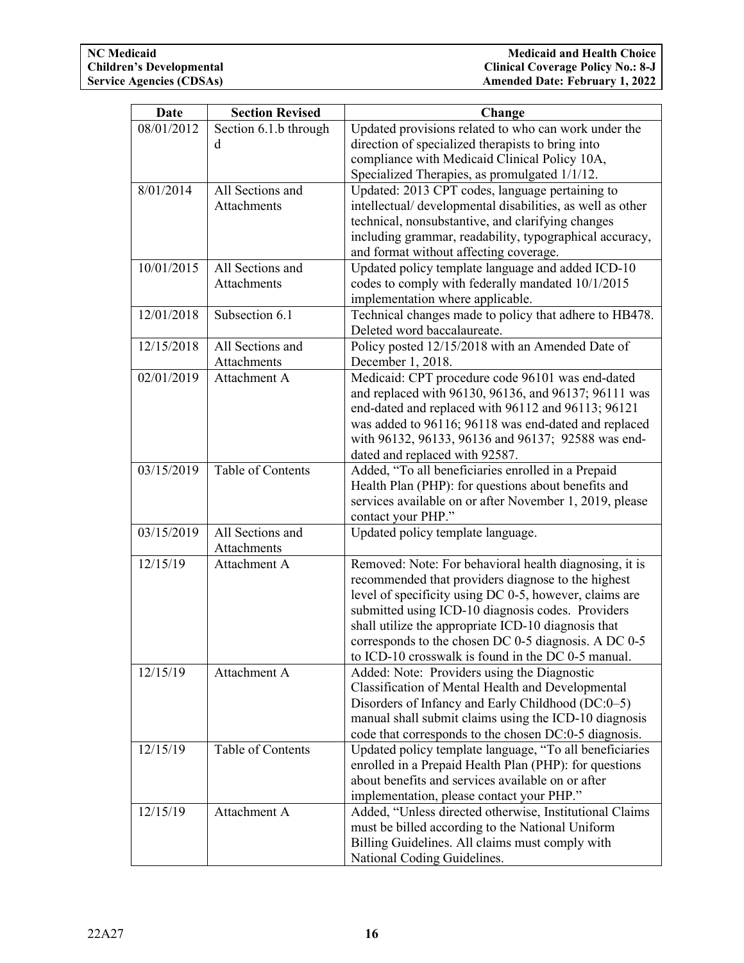| <b>Date</b> | <b>Section Revised</b>      | Change                                                                                                       |
|-------------|-----------------------------|--------------------------------------------------------------------------------------------------------------|
| 08/01/2012  | Section 6.1.b through       | Updated provisions related to who can work under the                                                         |
|             | d                           | direction of specialized therapists to bring into                                                            |
|             |                             | compliance with Medicaid Clinical Policy 10A,                                                                |
|             |                             | Specialized Therapies, as promulgated 1/1/12.                                                                |
| 8/01/2014   | All Sections and            | Updated: 2013 CPT codes, language pertaining to                                                              |
|             | Attachments                 | intellectual/ developmental disabilities, as well as other                                                   |
|             |                             | technical, nonsubstantive, and clarifying changes                                                            |
|             |                             | including grammar, readability, typographical accuracy,                                                      |
|             |                             | and format without affecting coverage.                                                                       |
| 10/01/2015  | All Sections and            | Updated policy template language and added ICD-10                                                            |
|             | Attachments                 | codes to comply with federally mandated 10/1/2015                                                            |
|             |                             | implementation where applicable.                                                                             |
| 12/01/2018  | Subsection 6.1              | Technical changes made to policy that adhere to HB478.                                                       |
|             |                             | Deleted word baccalaureate.                                                                                  |
| 12/15/2018  | All Sections and            | Policy posted 12/15/2018 with an Amended Date of                                                             |
|             | <b>Attachments</b>          | December 1, 2018.                                                                                            |
| 02/01/2019  | Attachment A                | Medicaid: CPT procedure code 96101 was end-dated                                                             |
|             |                             | and replaced with 96130, 96136, and 96137; 96111 was                                                         |
|             |                             | end-dated and replaced with 96112 and 96113; 96121                                                           |
|             |                             | was added to 96116; 96118 was end-dated and replaced                                                         |
|             |                             | with 96132, 96133, 96136 and 96137; 92588 was end-                                                           |
|             |                             | dated and replaced with 92587.                                                                               |
| 03/15/2019  | Table of Contents           | Added, "To all beneficiaries enrolled in a Prepaid                                                           |
|             |                             | Health Plan (PHP): for questions about benefits and                                                          |
|             |                             | services available on or after November 1, 2019, please                                                      |
|             |                             | contact your PHP."                                                                                           |
| 03/15/2019  | All Sections and            | Updated policy template language.                                                                            |
| 12/15/19    | Attachments<br>Attachment A |                                                                                                              |
|             |                             | Removed: Note: For behavioral health diagnosing, it is<br>recommended that providers diagnose to the highest |
|             |                             | level of specificity using DC 0-5, however, claims are                                                       |
|             |                             | submitted using ICD-10 diagnosis codes. Providers                                                            |
|             |                             | shall utilize the appropriate ICD-10 diagnosis that                                                          |
|             |                             | corresponds to the chosen DC 0-5 diagnosis. A DC 0-5                                                         |
|             |                             | to ICD-10 crosswalk is found in the DC 0-5 manual.                                                           |
| 12/15/19    | Attachment A                | Added: Note: Providers using the Diagnostic                                                                  |
|             |                             | Classification of Mental Health and Developmental                                                            |
|             |                             | Disorders of Infancy and Early Childhood (DC:0-5)                                                            |
|             |                             | manual shall submit claims using the ICD-10 diagnosis                                                        |
|             |                             | code that corresponds to the chosen DC:0-5 diagnosis.                                                        |
| 12/15/19    | Table of Contents           | Updated policy template language, "To all beneficiaries                                                      |
|             |                             | enrolled in a Prepaid Health Plan (PHP): for questions                                                       |
|             |                             | about benefits and services available on or after                                                            |
|             |                             | implementation, please contact your PHP."                                                                    |
| 12/15/19    | Attachment A                | Added, "Unless directed otherwise, Institutional Claims                                                      |
|             |                             | must be billed according to the National Uniform                                                             |
|             |                             | Billing Guidelines. All claims must comply with                                                              |
|             |                             | National Coding Guidelines.                                                                                  |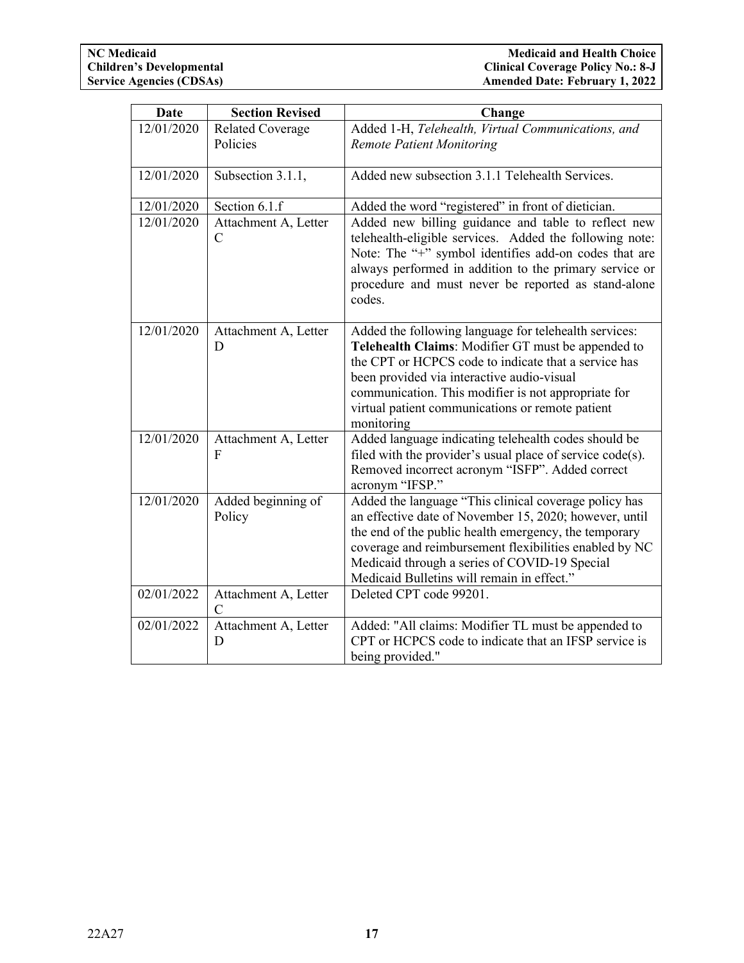| Date       | <b>Section Revised</b>                | Change                                                                                                                                                                                                                                                                                                                                     |
|------------|---------------------------------------|--------------------------------------------------------------------------------------------------------------------------------------------------------------------------------------------------------------------------------------------------------------------------------------------------------------------------------------------|
| 12/01/2020 | <b>Related Coverage</b><br>Policies   | Added 1-H, Telehealth, Virtual Communications, and<br><b>Remote Patient Monitoring</b>                                                                                                                                                                                                                                                     |
| 12/01/2020 | Subsection 3.1.1,                     | Added new subsection 3.1.1 Telehealth Services.                                                                                                                                                                                                                                                                                            |
| 12/01/2020 | Section 6.1.f                         | Added the word "registered" in front of dietician.                                                                                                                                                                                                                                                                                         |
| 12/01/2020 | Attachment A, Letter<br>$\mathcal{C}$ | Added new billing guidance and table to reflect new<br>telehealth-eligible services. Added the following note:<br>Note: The "+" symbol identifies add-on codes that are<br>always performed in addition to the primary service or<br>procedure and must never be reported as stand-alone<br>codes.                                         |
| 12/01/2020 | Attachment A, Letter<br>D             | Added the following language for telehealth services:<br>Telehealth Claims: Modifier GT must be appended to<br>the CPT or HCPCS code to indicate that a service has<br>been provided via interactive audio-visual<br>communication. This modifier is not appropriate for<br>virtual patient communications or remote patient<br>monitoring |
| 12/01/2020 | Attachment A, Letter<br>F             | Added language indicating telehealth codes should be<br>filed with the provider's usual place of service code(s).<br>Removed incorrect acronym "ISFP". Added correct<br>acronym "IFSP."                                                                                                                                                    |
| 12/01/2020 | Added beginning of<br>Policy          | Added the language "This clinical coverage policy has<br>an effective date of November 15, 2020; however, until<br>the end of the public health emergency, the temporary<br>coverage and reimbursement flexibilities enabled by NC<br>Medicaid through a series of COVID-19 Special<br>Medicaid Bulletins will remain in effect."          |
| 02/01/2022 | Attachment A, Letter<br>$\mathbf C$   | Deleted CPT code 99201.                                                                                                                                                                                                                                                                                                                    |
| 02/01/2022 | Attachment A, Letter<br>D             | Added: "All claims: Modifier TL must be appended to<br>CPT or HCPCS code to indicate that an IFSP service is<br>being provided."                                                                                                                                                                                                           |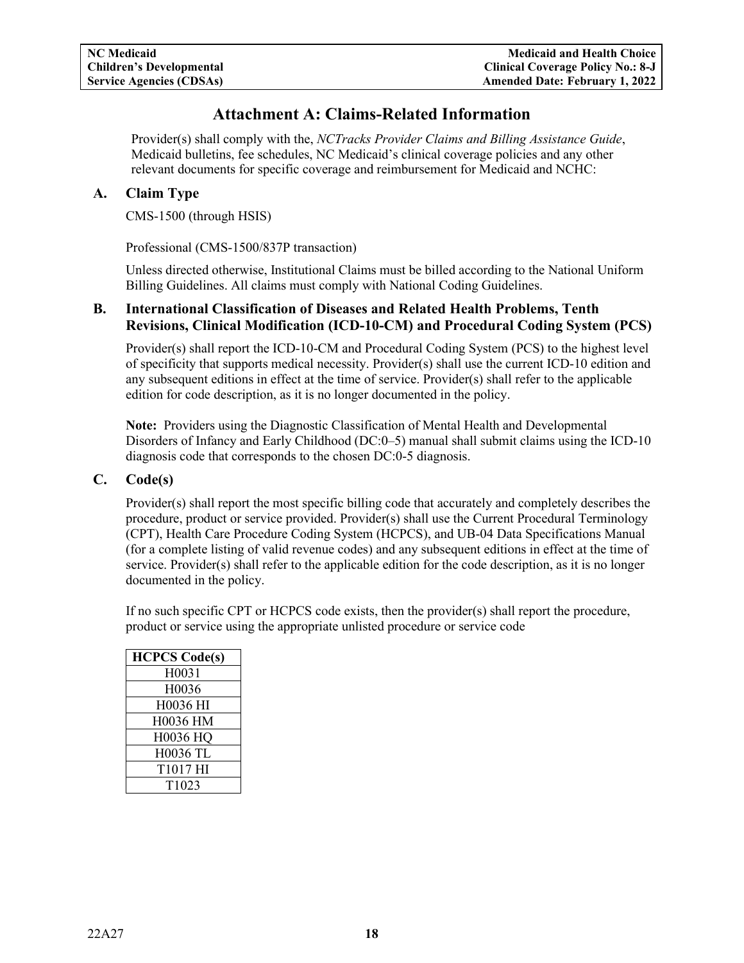# **Attachment A: Claims-Related Information**

<span id="page-19-0"></span>Provider(s) shall comply with the, *NCTracks Provider Claims and Billing Assistance Guide*, Medicaid bulletins, fee schedules, NC Medicaid's clinical coverage policies and any other relevant documents for specific coverage and reimbursement for Medicaid and NCHC:

### <span id="page-19-1"></span>**A. Claim Type**

CMS-1500 (through HSIS)

Professional (CMS-1500/837P transaction)

Unless directed otherwise, Institutional Claims must be billed according to the National Uniform Billing Guidelines. All claims must comply with National Coding Guidelines.

### <span id="page-19-2"></span>**B. International Classification of Diseases and Related Health Problems, Tenth Revisions, Clinical Modification (ICD-10-CM) and Procedural Coding System (PCS)**

Provider(s) shall report the ICD-10-CM and Procedural Coding System (PCS) to the highest level of specificity that supports medical necessity. Provider(s) shall use the current ICD-10 edition and any subsequent editions in effect at the time of service. Provider(s) shall refer to the applicable edition for code description, as it is no longer documented in the policy.

**Note:** Providers using the Diagnostic Classification of Mental Health and Developmental Disorders of Infancy and Early Childhood (DC:0–5) manual shall submit claims using the ICD-10 diagnosis code that corresponds to the chosen DC:0-5 diagnosis.

### <span id="page-19-3"></span>**C. Code(s)**

Provider(s) shall report the most specific billing code that accurately and completely describes the procedure, product or service provided. Provider(s) shall use the Current Procedural Terminology (CPT), Health Care Procedure Coding System (HCPCS), and UB-04 Data Specifications Manual (for a complete listing of valid revenue codes) and any subsequent editions in effect at the time of service. Provider(s) shall refer to the applicable edition for the code description, as it is no longer documented in the policy.

If no such specific CPT or HCPCS code exists, then the provider(s) shall report the procedure, product or service using the appropriate unlisted procedure or service code

| <b>HCPCS Code(s)</b> |
|----------------------|
| H0031                |
| H0036                |
| H0036 HI             |
| H0036 HM             |
| H0036 HQ             |
| <b>H0036 TL</b>      |
| T1017 HI             |
| T <sub>1023</sub>    |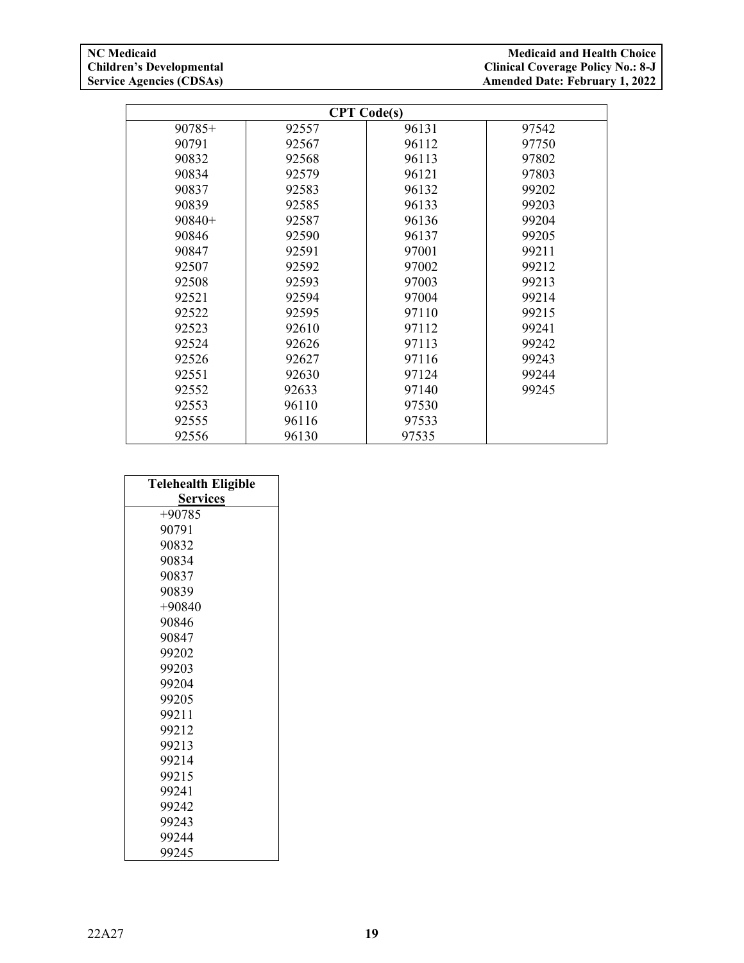| <b>CPT</b> Code(s) |       |       |       |
|--------------------|-------|-------|-------|
| $90785+$           | 92557 | 96131 | 97542 |
| 90791              | 92567 | 96112 | 97750 |
| 90832              | 92568 | 96113 | 97802 |
| 90834              | 92579 | 96121 | 97803 |
| 90837              | 92583 | 96132 | 99202 |
| 90839              | 92585 | 96133 | 99203 |
| $90840+$           | 92587 | 96136 | 99204 |
| 90846              | 92590 | 96137 | 99205 |
| 90847              | 92591 | 97001 | 99211 |
| 92507              | 92592 | 97002 | 99212 |
| 92508              | 92593 | 97003 | 99213 |
| 92521              | 92594 | 97004 | 99214 |
| 92522              | 92595 | 97110 | 99215 |
| 92523              | 92610 | 97112 | 99241 |
| 92524              | 92626 | 97113 | 99242 |
| 92526              | 92627 | 97116 | 99243 |
| 92551              | 92630 | 97124 | 99244 |
| 92552              | 92633 | 97140 | 99245 |
| 92553              | 96110 | 97530 |       |
| 92555              | 96116 | 97533 |       |
| 92556              | 96130 | 97535 |       |

| <b>Telehealth Eligible</b> |
|----------------------------|
| <b>Services</b>            |
| $+90785$                   |
| 90791                      |
| 90832                      |
| 90834                      |
| 90837                      |
| 90839                      |
| $+90840$                   |
| 90846                      |
| 90847                      |
| 99202                      |
| 99203                      |
| 99204                      |
| 99205                      |
| 99211                      |
| 99212                      |
| 99213                      |
| 99214                      |
| 99215                      |
| 99241                      |
| 99242                      |
| 99243                      |
| 99244                      |
| 99245                      |